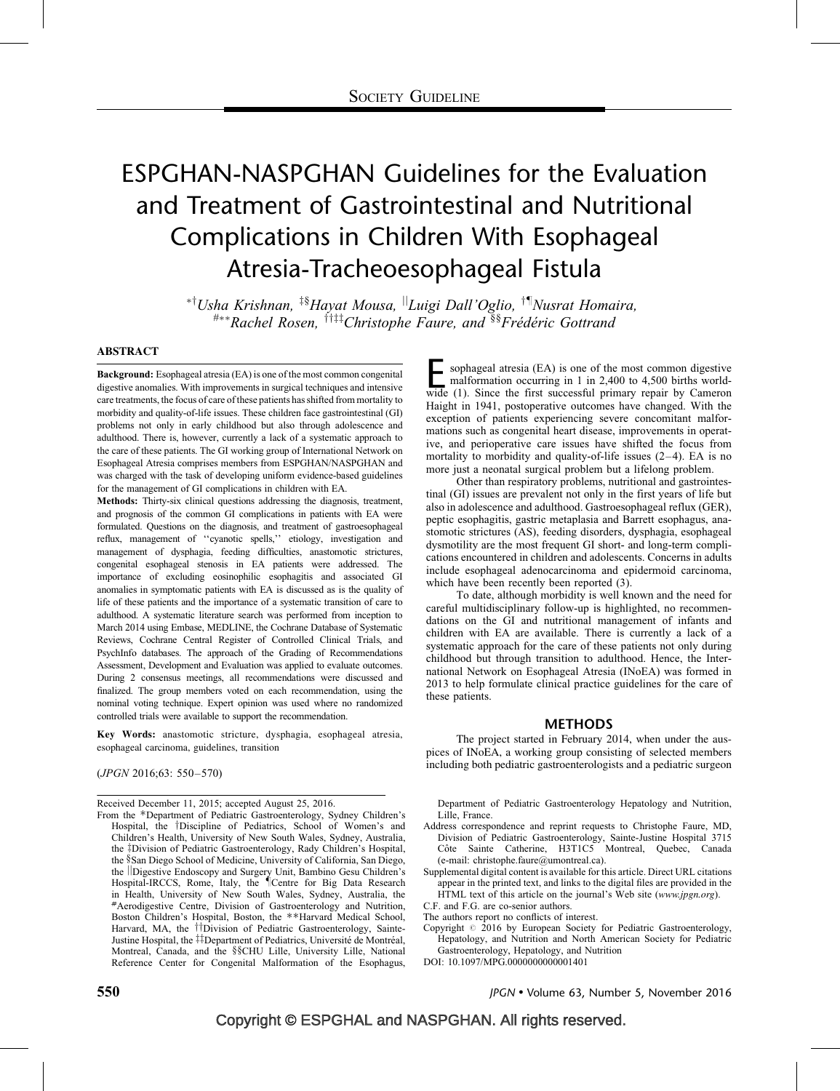# ESPGHAN-NASPGHAN Guidelines for the Evaluation and Treatment of Gastrointestinal and Nutritional Complications in Children With Esophageal Atresia-Tracheoesophageal Fistula

\*<sup>†</sup>Usha Krishnan, <sup>‡§</sup>Hayat Mousa, <sup>||</sup>Luigi Dall'Oglio, <sup>†¶</sup>Nusrat Homaira, #\*\*Rachel Rosen, <sup>††‡‡</sup>Christophe Faure, and §§Frédéric Gottrand

#### ABSTRACT

Background: Esophageal atresia (EA) is one of the most common congenital digestive anomalies. With improvements in surgical techniques and intensive care treatments, the focus of care of these patients has shifted from mortality to morbidity and quality-of-life issues. These children face gastrointestinal (GI) problems not only in early childhood but also through adolescence and adulthood. There is, however, currently a lack of a systematic approach to the care of these patients. The GI working group of International Network on Esophageal Atresia comprises members from ESPGHAN/NASPGHAN and was charged with the task of developing uniform evidence-based guidelines for the management of GI complications in children with EA.

Methods: Thirty-six clinical questions addressing the diagnosis, treatment, and prognosis of the common GI complications in patients with EA were formulated. Questions on the diagnosis, and treatment of gastroesophageal reflux, management of ''cyanotic spells,'' etiology, investigation and management of dysphagia, feeding difficulties, anastomotic strictures, congenital esophageal stenosis in EA patients were addressed. The importance of excluding eosinophilic esophagitis and associated GI anomalies in symptomatic patients with EA is discussed as is the quality of life of these patients and the importance of a systematic transition of care to adulthood. A systematic literature search was performed from inception to March 2014 using Embase, MEDLINE, the Cochrane Database of Systematic Reviews, Cochrane Central Register of Controlled Clinical Trials, and PsychInfo databases. The approach of the Grading of Recommendations Assessment, Development and Evaluation was applied to evaluate outcomes. During 2 consensus meetings, all recommendations were discussed and finalized. The group members voted on each recommendation, using the nominal voting technique. Expert opinion was used where no randomized controlled trials were available to support the recommendation.

Key Words: anastomotic stricture, dysphagia, esophageal atresia, esophageal carcinoma, guidelines, transition

(JPGN 2016;63: 550–570)

Received December 11, 2015; accepted August 25, 2016.

From the \*Department of Pediatric Gastroenterology, Sydney Children's Hospital, the <sup>†</sup>Discipline of Pediatrics, School of Women's and Children's Health, University of New South Wales, Sydney, Australia, the <sup>‡</sup>Division of Pediatric Gastroenterology, Rady Children's Hospital, the §San Diego School of Medicine, University of California, San Diego, the *Digestive Endoscopy and Surgery Unit*, Bambino Gesu Children's Hospital-IRCCS, Rome, Italy, the *Centre for Big Data Research* in Health, University of New South Wales, Sydney, Australia, the #Aerodigestive Centre, Division of Gastroenterology and Nutrition, Boston Children's Hospital, Boston, the \*\*Harvard Medical School, Harvard, MA, the *TDivision* of Pediatric Gastroenterology, Sainte-Justine Hospital, the #Department of Pediatrics, Université de Montréal, Montreal, Canada, and the §§CHU Lille, University Lille, National Reference Center for Congenital Malformation of the Esophagus,

sophageal atresia (EA) is one of the most common digestive malformation occurring in 1 in 2,400 to 4,500 births worldwide (1). Since the first successful primary repair by Cameron malformation occurring in 1 in 2,400 to 4,500 births worldwide [\(1\).](#page-17-0) Since the first successful primary repair by Cameron Haight in 1941, postoperative outcomes have changed. With the exception of patients experiencing severe concomitant malformations such as congenital heart disease, improvements in operative, and perioperative care issues have shifted the focus from mortality to morbidity and quality-of-life issues  $(2-4)$ . EA is no more just a neonatal surgical problem but a lifelong problem.

Other than respiratory problems, nutritional and gastrointestinal (GI) issues are prevalent not only in the first years of life but also in adolescence and adulthood. Gastroesophageal reflux (GER), peptic esophagitis, gastric metaplasia and Barrett esophagus, anastomotic strictures (AS), feeding disorders, dysphagia, esophageal dysmotility are the most frequent GI short- and long-term complications encountered in children and adolescents. Concerns in adults include esophageal adenocarcinoma and epidermoid carcinoma, which have been recently been reported [\(3\)](#page-17-0).

To date, although morbidity is well known and the need for careful multidisciplinary follow-up is highlighted, no recommendations on the GI and nutritional management of infants and children with EA are available. There is currently a lack of a systematic approach for the care of these patients not only during childhood but through transition to adulthood. Hence, the International Network on Esophageal Atresia (INoEA) was formed in 2013 to help formulate clinical practice guidelines for the care of these patients.

#### METHODS

The project started in February 2014, when under the auspices of INoEA, a working group consisting of selected members including both pediatric gastroenterologists and a pediatric surgeon

Department of Pediatric Gastroenterology Hepatology and Nutrition, Lille, France.

- Address correspondence and reprint requests to Christophe Faure, MD, Division of Pediatric Gastroenterology, Sainte-Justine Hospital 3715 Côte Sainte Catherine, H3T1C5 (e-mail: christophe.faure@umontreal.ca).
- Supplemental digital content is available for this article. Direct URL citations appear in the printed text, and links to the digital files are provided in the HTML text of this article on the journal's Web site ([www.jpgn.org](http://www.jpgn.org/)).
- C.F. and F.G. are co-senior authors.
- The authors report no conflicts of interest.
- Copyright  $\odot$  2016 by European Society for Pediatric Gastroenterology, Hepatology, and Nutrition and North American Society for Pediatric Gastroenterology, Hepatology, and Nutrition
- DOI: [10.1097/MPG.0000000000001401](http://dx.doi.org/10.1097/MPG.0000000000001401)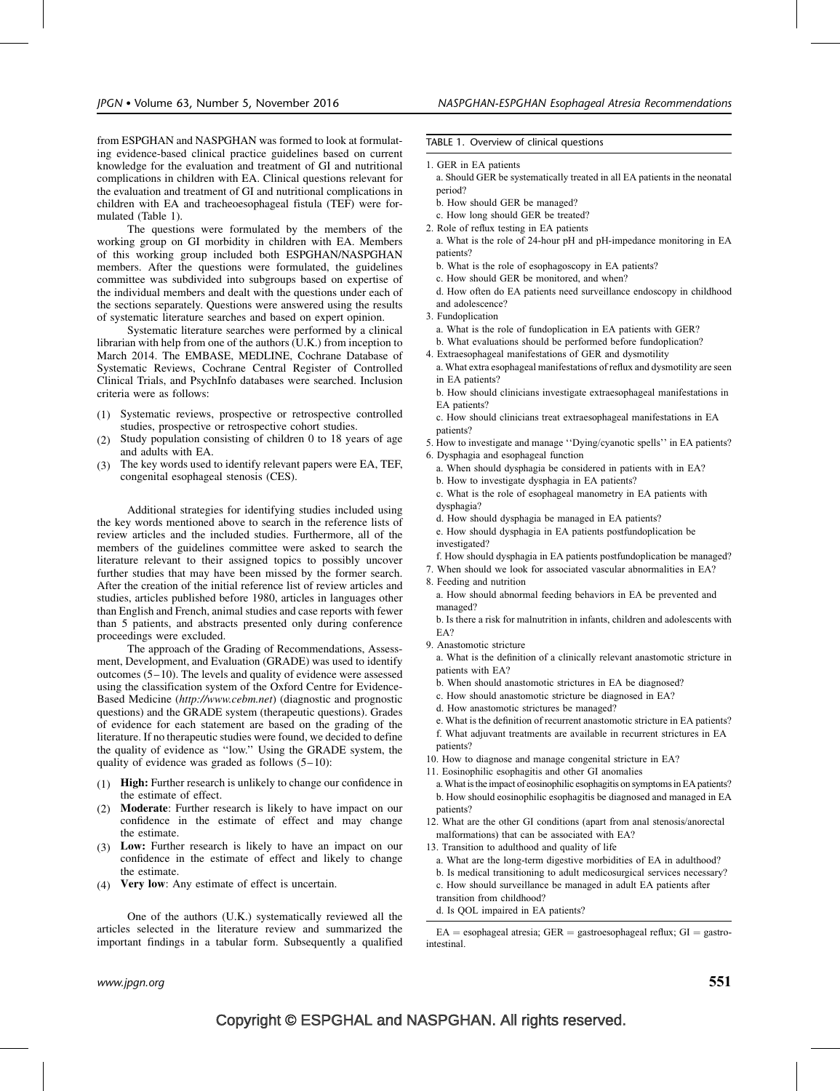from ESPGHAN and NASPGHAN was formed to look at formulating evidence-based clinical practice guidelines based on current knowledge for the evaluation and treatment of GI and nutritional complications in children with EA. Clinical questions relevant for the evaluation and treatment of GI and nutritional complications in children with EA and tracheoesophageal fistula (TEF) were formulated (Table 1).

The questions were formulated by the members of the working group on GI morbidity in children with EA. Members of this working group included both ESPGHAN/NASPGHAN members. After the questions were formulated, the guidelines committee was subdivided into subgroups based on expertise of the individual members and dealt with the questions under each of the sections separately. Questions were answered using the results of systematic literature searches and based on expert opinion.

Systematic literature searches were performed by a clinical librarian with help from one of the authors (U.K.) from inception to March 2014. The EMBASE, MEDLINE, Cochrane Database of Systematic Reviews, Cochrane Central Register of Controlled Clinical Trials, and PsychInfo databases were searched. Inclusion criteria were as follows:

- (1) Systematic reviews, prospective or retrospective controlled studies, prospective or retrospective cohort studies.
- (2) Study population consisting of children 0 to 18 years of age and adults with EA.
- (3) The key words used to identify relevant papers were EA, TEF, congenital esophageal stenosis (CES).

Additional strategies for identifying studies included using the key words mentioned above to search in the reference lists of review articles and the included studies. Furthermore, all of the members of the guidelines committee were asked to search the literature relevant to their assigned topics to possibly uncover further studies that may have been missed by the former search. After the creation of the initial reference list of review articles and studies, articles published before 1980, articles in languages other than English and French, animal studies and case reports with fewer than 5 patients, and abstracts presented only during conference proceedings were excluded.

The approach of the Grading of Recommendations, Assessment, Development, and Evaluation (GRADE) was used to identify outcomes [\(5–10\)](#page-17-0). The levels and quality of evidence were assessed using the classification system of the Oxford Centre for Evidence-Based Medicine (http://www.cebm.net[\) \(diagnostic and prognostic](http://www.cebm.net/) [questions\) and the GRADE system \(therapeutic questions\). Grades](http://www.cebm.net/) [of evidence for each statement are based on the grading of the](http://www.cebm.net/) [literature. If no therapeutic studies were found, we decided to define](http://www.cebm.net/) [the quality of evidence as ''low.'' Using the GRADE system, the](http://www.cebm.net/) quality of evidence was graded as follows  $(5-10)$ :

- (1) High: Further research is unlikely to change our confidence in the estimate of effect.
- (2) Moderate: Further research is likely to have impact on our confidence in the estimate of effect and may change the estimate.
- (3) Low: Further research is likely to have an impact on our confidence in the estimate of effect and likely to change the estimate.
- (4) Very low: Any estimate of effect is uncertain.

One of the authors (U.K.) systematically reviewed all the articles selected in the literature review and summarized the important findings in a tabular form. Subsequently a qualified

#### TABLE 1. Overview of clinical questions

- a. Should GER be systematically treated in all EA patients in the neonatal period?
- b. How should GER be managed?
- c. How long should GER be treated?
- 2. Role of reflux testing in EA patients
- a. What is the role of 24-hour pH and pH-impedance monitoring in EA patients?
- b. What is the role of esophagoscopy in EA patients?
- c. How should GER be monitored, and when?
- d. How often do EA patients need surveillance endoscopy in childhood and adolescence?
- 3. Fundoplication
	- a. What is the role of fundoplication in EA patients with GER?
	- b. What evaluations should be performed before fundoplication?
- 4. Extraesophageal manifestations of GER and dysmotility
- a. What extra esophageal manifestations of reflux and dysmotility are seen in EA patients?
- b. How should clinicians investigate extraesophageal manifestations in EA patients?
- c. How should clinicians treat extraesophageal manifestations in EA patients?
- 5. How to investigate and manage ''Dying/cyanotic spells'' in EA patients?
- 6. Dysphagia and esophageal function
- a. When should dysphagia be considered in patients with in EA?
- b. How to investigate dysphagia in EA patients?
- c. What is the role of esophageal manometry in EA patients with dysphagia?
- d. How should dysphagia be managed in EA patients?
- e. How should dysphagia in EA patients postfundoplication be investigated?
- f. How should dysphagia in EA patients postfundoplication be managed?
- 7. When should we look for associated vascular abnormalities in EA?
- 8. Feeding and nutrition
	- a. How should abnormal feeding behaviors in EA be prevented and managed?
	- b. Is there a risk for malnutrition in infants, children and adolescents with EA?
- 9. Anastomotic stricture
	- a. What is the definition of a clinically relevant anastomotic stricture in patients with EA?
	- b. When should anastomotic strictures in EA be diagnosed?
	- c. How should anastomotic stricture be diagnosed in EA?
	- d. How anastomotic strictures be managed?
	- e. What is the definition of recurrent anastomotic stricture in EA patients?
	- f. What adjuvant treatments are available in recurrent strictures in EA patients?
- 10. How to diagnose and manage congenital stricture in EA?
- 11. Eosinophilic esophagitis and other GI anomalies
- a. What is the impact of eosinophilic esophagitis on symptoms in EA patients? b. How should eosinophilic esophagitis be diagnosed and managed in EA patients?
- 12. What are the other GI conditions (apart from anal stenosis/anorectal malformations) that can be associated with EA?
- 13. Transition to adulthood and quality of life
	- a. What are the long-term digestive morbidities of EA in adulthood?
	- b. Is medical transitioning to adult medicosurgical services necessary?
	- c. How should surveillance be managed in adult EA patients after transition from childhood?
	- d. Is QOL impaired in EA patients?

<sup>1.</sup> GER in EA patients

 $EA =$  esophageal atresia; GER = gastroesophageal reflux; GI = gastrointestinal.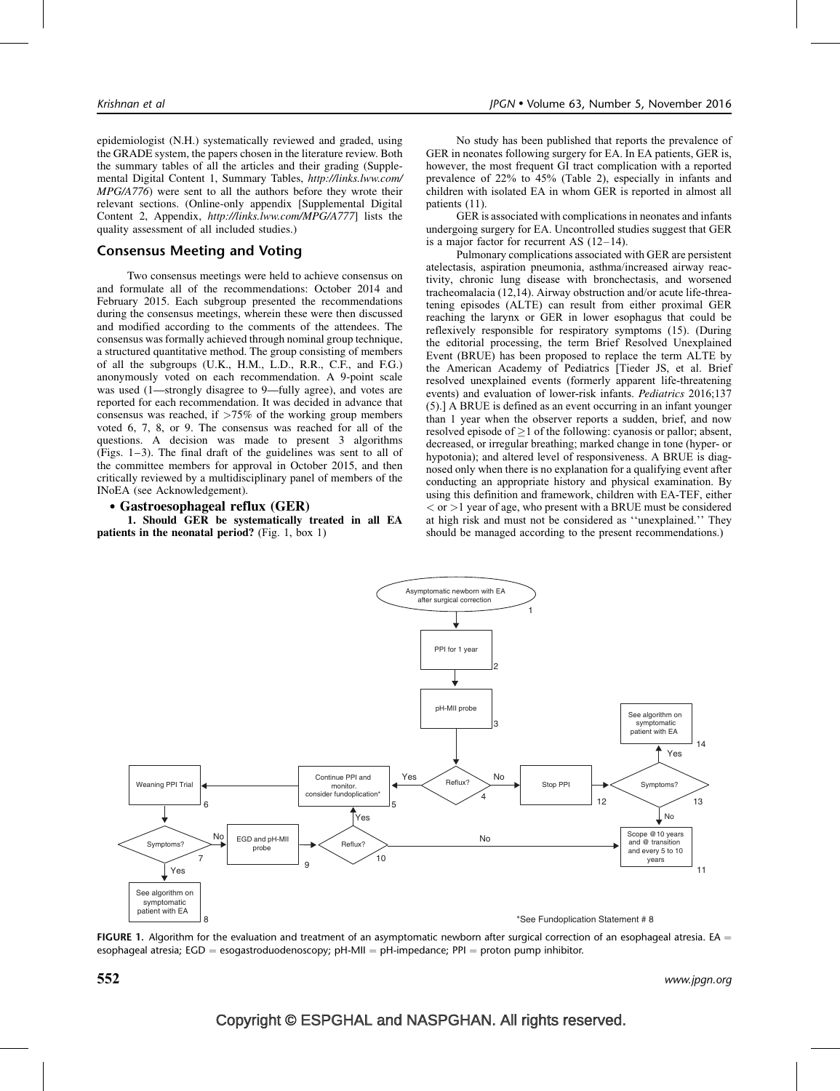<span id="page-2-0"></span>epidemiologist (N.H.) systematically reviewed and graded, using the GRADE system, the papers chosen in the literature review. Both the summary tables of all the articles and their grading (Supplemental Digital Content 1, Summary Tables, [http://links.lww.com/](http://links.lww.com/MPG/A776) MPG/A776[\) were sent to all the authors before they wrote their](http://links.lww.com/MPG/A776) [relevant sections. \(Online-only appendix \[Supplemental Digital](http://links.lww.com/MPG/A776) Content 2, Appendix, <http://links.lww.com/MPG/A777>] lists the [quality assessment of all included studies.\)](http://links.lww.com/MPG/A777)

# Consensus Meeting and Voting

Two consensus meetings were held to achieve consensus on and formulate all of the recommendations: October 2014 and February 2015. Each subgroup presented the recommendations during the consensus meetings, wherein these were then discussed and modified according to the comments of the attendees. The consensus was formally achieved through nominal group technique, a structured quantitative method. The group consisting of members of all the subgroups (U.K., H.M., L.D., R.R., C.F., and F.G.) anonymously voted on each recommendation. A 9-point scale was used (1—strongly disagree to 9—fully agree), and votes are reported for each recommendation. It was decided in advance that consensus was reached, if  $>75\%$  of the working group members voted 6, 7, 8, or 9. The consensus was reached for all of the questions. A decision was made to present 3 algorithms (Figs. 1–3). The final draft of the guidelines was sent to all of the committee members for approval in October 2015, and then critically reviewed by a multidisciplinary panel of members of the INoEA (see Acknowledgement).

#### Gastroesophageal reflux (GER)

1. Should GER be systematically treated in all EA patients in the neonatal period? (Fig. 1, box 1)

No study has been published that reports the prevalence of GER in neonates following surgery for EA. In EA patients, GER is, however, the most frequent GI tract complication with a reported prevalence of 22% to 45% ([Table 2\)](#page-3-0), especially in infants and children with isolated EA in whom GER is reported in almost all patients [\(11\).](#page-17-0)

GER is associated with complications in neonates and infants undergoing surgery for EA. Uncontrolled studies suggest that GER is a major factor for recurrent AS [\(12–14\)](#page-17-0).

Pulmonary complications associated with GER are persistent atelectasis, aspiration pneumonia, asthma/increased airway reactivity, chronic lung disease with bronchectasis, and worsened tracheomalacia [\(12,14\).](#page-17-0) Airway obstruction and/or acute life-threatening episodes (ALTE) can result from either proximal GER reaching the larynx or GER in lower esophagus that could be reflexively responsible for respiratory symptoms [\(15\)](#page-17-0). (During the editorial processing, the term Brief Resolved Unexplained Event (BRUE) has been proposed to replace the term ALTE by the American Academy of Pediatrics [Tieder JS, et al. Brief resolved unexplained events (formerly apparent life-threatening events) and evaluation of lower-risk infants. Pediatrics 2016;137 [\(5\)](#page-17-0).] A BRUE is defined as an event occurring in an infant younger than 1 year when the observer reports a sudden, brief, and now resolved episode of  $\geq$ 1 of the following: cyanosis or pallor; absent, decreased, or irregular breathing; marked change in tone (hyper- or hypotonia); and altered level of responsiveness. A BRUE is diagnosed only when there is no explanation for a qualifying event after conducting an appropriate history and physical examination. By using this definition and framework, children with EA-TEF, either  $\langle$  or  $>$ 1 year of age, who present with a BRUE must be considered at high risk and must not be considered as ''unexplained.'' They should be managed according to the present recommendations.)



FIGURE 1. Algorithm for the evaluation and treatment of an asymptomatic newborn after surgical correction of an esophageal atresia. EA  $=$ esophageal atresia;  $EGD =$  esogastroduodenoscopy; pH-MII = pH-impedance; PPI = proton pump inhibitor.

 $552$  www.jpgn.org www.jpgn.org www.jpgn.org www.jpgn.org www.jpgn.org www.jpgn.org www.jpgn.org  $\sim$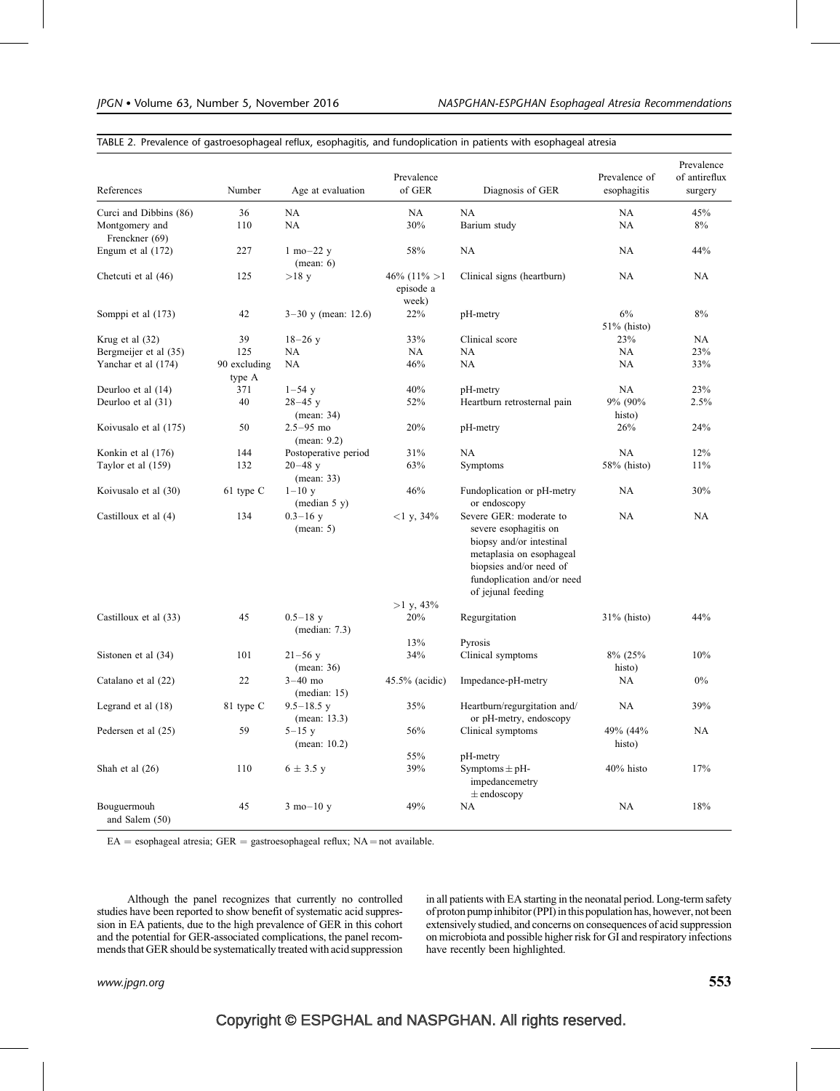#### <span id="page-3-0"></span>TABLE 2. Prevalence of gastroesophageal reflux, esophagitis, and fundoplication in patients with esophageal atresia

| References                       | Number                 | Age at evaluation                        | Prevalence<br>of GER                | Diagnosis of GER                                                                                                                                                                        | Prevalence of<br>esophagitis | Prevalence<br>of antireflux<br>surgery |
|----------------------------------|------------------------|------------------------------------------|-------------------------------------|-----------------------------------------------------------------------------------------------------------------------------------------------------------------------------------------|------------------------------|----------------------------------------|
| Curci and Dibbins (86)           | 36                     | NA                                       | NA                                  | NA                                                                                                                                                                                      | NA                           | 45%                                    |
| Montgomery and<br>Frenckner (69) | 110                    | NA                                       | 30%                                 | Barium study                                                                                                                                                                            | NA                           | 8%                                     |
| Engum et al (172)                | 227                    | $1 \text{ mo}-22 \text{ y}$<br>(mean: 6) | 58%                                 | NA                                                                                                                                                                                      | NA                           | 44%                                    |
| Chetcuti et al (46)              | 125                    | $>18$ y                                  | 46% (11% $>1$<br>episode a<br>week) | Clinical signs (heartburn)                                                                                                                                                              | NA                           | NA                                     |
| Somppi et al (173)               | 42                     | $3-30$ y (mean: 12.6)                    | 22%                                 | pH-metry                                                                                                                                                                                | 6%<br>51% (histo)            | 8%                                     |
| Krug et al (32)                  | 39                     | $18 - 26$ y                              | 33%                                 | Clinical score                                                                                                                                                                          | 23%                          | NA                                     |
| Bergmeijer et al (35)            | 125                    | NA                                       | NA                                  | NA                                                                                                                                                                                      | NA                           | 23%                                    |
| Yanchar et al (174)              | 90 excluding<br>type A | NA                                       | 46%                                 | NA                                                                                                                                                                                      | NA                           | 33%                                    |
| Deurloo et al (14)               | 371                    | $1 - 54$ y                               | 40%                                 | pH-metry                                                                                                                                                                                | NA                           | 23%                                    |
| Deurloo et al (31)               | 40                     | $28 - 45$ y<br>(mean: 34)                | 52%                                 | Heartburn retrosternal pain                                                                                                                                                             | 9% (90%<br>histo)            | 2.5%                                   |
| Koivusalo et al (175)            | 50                     | $2.5 - 95$ mo<br>(mean: 9.2)             | 20%                                 | pH-metry                                                                                                                                                                                | 26%                          | 24%                                    |
| Konkin et al (176)               | 144                    | Postoperative period                     | 31%                                 | NA                                                                                                                                                                                      | NA                           | 12%                                    |
| Taylor et al (159)               | 132                    | $20 - 48$ y<br>(mean: 33)                | 63%                                 | Symptoms                                                                                                                                                                                | 58% (histo)                  | 11%                                    |
| Koivusalo et al (30)             | 61 type C              | $1 - 10y$<br>(median $5 y)$              | 46%                                 | Fundoplication or pH-metry<br>or endoscopy                                                                                                                                              | NA                           | 30%                                    |
| Castilloux et al (4)             | 134                    | $0.3 - 16$ y<br>(mean: 5)                | $<$ 1 y, 34%                        | Severe GER: moderate to<br>severe esophagitis on<br>biopsy and/or intestinal<br>metaplasia on esophageal<br>biopsies and/or need of<br>fundoplication and/or need<br>of jejunal feeding | NA                           | NA                                     |
|                                  |                        |                                          | $>1$ y, 43%                         |                                                                                                                                                                                         |                              |                                        |
| Castilloux et al (33)            | 45                     | $0.5 - 18$ y<br>(median: 7.3)            | 20%                                 | Regurgitation                                                                                                                                                                           | $31\%$ (histo)               | 44%                                    |
| Sistonen et al (34)              | 101                    | $21 - 56$ y<br>(mean: 36)                | 13%<br>34%                          | Pyrosis<br>Clinical symptoms                                                                                                                                                            | 8% (25%<br>histo)            | 10%                                    |
| Catalano et al (22)              | 22                     | $3 - 40$ mo<br>(median: 15)              | $45.5\%$ (acidic)                   | Impedance-pH-metry                                                                                                                                                                      | NA                           | $0\%$                                  |
| Legrand et al $(18)$             | 81 type C              | $9.5 - 18.5$ y<br>(mean: $13.3$ )        | 35%                                 | Heartburn/regurgitation and/<br>or pH-metry, endoscopy                                                                                                                                  | NA                           | 39%                                    |
| Pedersen et al (25)              | 59                     | $5-15$ y<br>(mean: $10.2$ )              | 56%                                 | Clinical symptoms                                                                                                                                                                       | 49% (44%<br>histo)           | $\rm NA$                               |
| Shah et al (26)                  | 110                    | $6 \pm 3.5$ y                            | 55%<br>39%                          | pH-metry<br>Symptoms $\pm$ pH-<br>impedancemetry<br>$\pm$ endoscopy                                                                                                                     | 40% histo                    | 17%                                    |
| Bouguermouh<br>and Salem (50)    | 45                     | $3 \text{ mo} - 10 \text{ y}$            | 49%                                 | NA                                                                                                                                                                                      | <b>NA</b>                    | $18\%$                                 |

 $EA =$  esophageal atresia; GER = gastroesophageal reflux; NA = not available.

Although the panel recognizes that currently no controlled studies have been reported to show benefit of systematic acid suppression in EA patients, due to the high prevalence of GER in this cohort and the potential for GER-associated complications, the panel recommends that GER should be systematically treated with acid suppression in all patients with EA starting in the neonatal period. Long-term safety of proton pump inhibitor (PPI) in this population has, however, not been extensively studied, and concerns on consequences of acid suppression on microbiota and possible higher risk for GI and respiratory infections have recently been highlighted.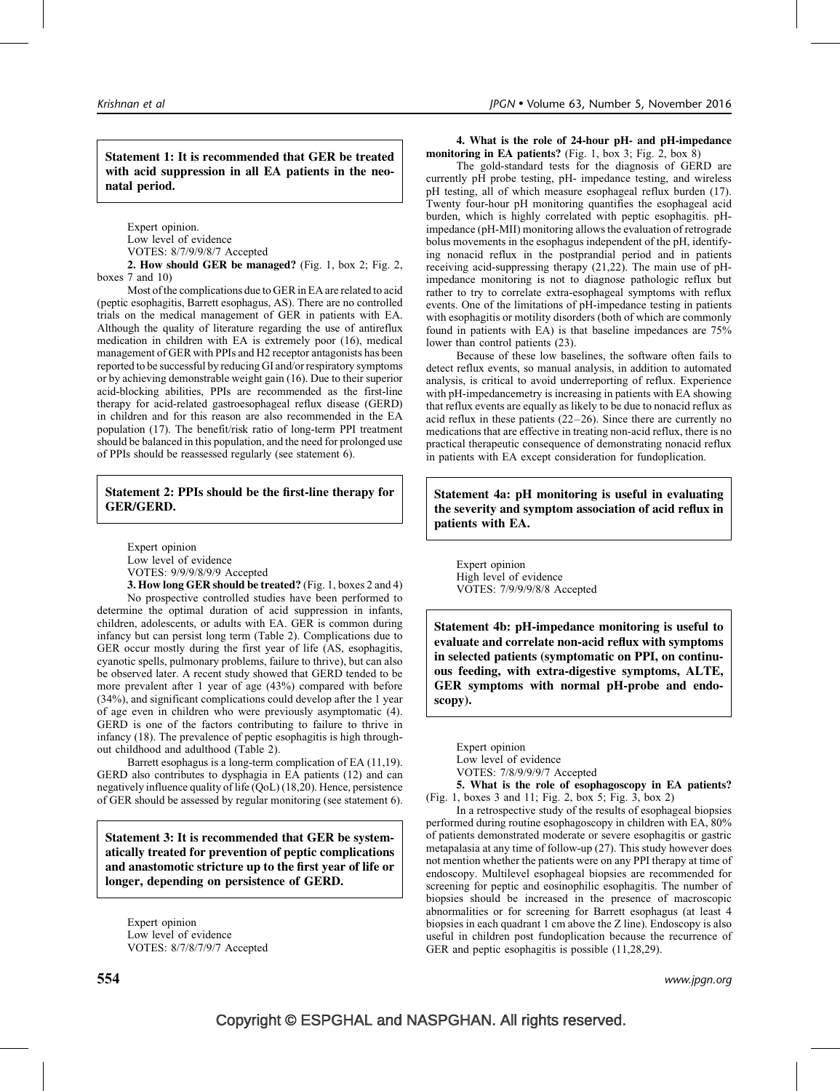## Statement 1: It is recommended that GER be treated with acid suppression in all EA patients in the neonatal period.

Expert opinion. Low level of evidence VOTES: 8/7/9/9/8/7 Accepted

2. How should GER be managed? ([Fig. 1](#page-2-0), box 2; [Fig. 2](#page-5-0), boxes 7 and 10)

Most of the complications due to GER in EA are related to acid (peptic esophagitis, Barrett esophagus, AS). There are no controlled trials on the medical management of GER in patients with EA. Although the quality of literature regarding the use of antireflux medication in children with EA is extremely poor [\(16\)](#page-17-0), medical management of GER with PPIs and H2 receptor antagonists has been reported to be successful by reducing GI and/or respiratory symptoms or by achieving demonstrable weight gain [\(16\).](#page-17-0) Due to their superior acid-blocking abilities, PPIs are recommended as the first-line therapy for acid-related gastroesophageal reflux disease (GERD) in children and for this reason are also recommended in the EA population [\(17\)](#page-17-0). The benefit/risk ratio of long-term PPI treatment should be balanced in this population, and the need for prolonged use of PPIs should be reassessed regularly (see statement 6).

## Statement 2: PPIs should be the first-line therapy for GER/GERD.

Expert opinion Low level of evidence VOTES: 9/9/9/8/9/9 Accepted

3. How long GER should be treated? [\(Fig. 1,](#page-2-0) boxes 2 and 4) No prospective controlled studies have been performed to determine the optimal duration of acid suppression in infants, children, adolescents, or adults with EA. GER is common during infancy but can persist long term [\(Table 2](#page-3-0)). Complications due to GER occur mostly during the first year of life (AS, esophagitis, cyanotic spells, pulmonary problems, failure to thrive), but can also be observed later. A recent study showed that GERD tended to be more prevalent after 1 year of age (43%) compared with before (34%), and significant complications could develop after the 1 year of age even in children who were previously asymptomatic [\(4\)](#page-17-0). GERD is one of the factors contributing to failure to thrive in infancy [\(18\).](#page-17-0) The prevalence of peptic esophagitis is high throughout childhood and adulthood ([Table 2\)](#page-3-0).

Barrett esophagus is a long-term complication of EA [\(11,19\)](#page-17-0). GERD also contributes to dysphagia in EA patients [\(12\)](#page-17-0) and can negatively influence quality of life (QoL) [\(18,20\).](#page-17-0) Hence, persistence of GER should be assessed by regular monitoring (see statement 6).

Statement 3: It is recommended that GER be systematically treated for prevention of peptic complications and anastomotic stricture up to the first year of life or longer, depending on persistence of GERD.

Expert opinion Low level of evidence VOTES: 8/7/8/7/9/7 Accepted

#### 4. What is the role of 24-hour pH- and pH-impedance monitoring in EA patients? [\(Fig. 1](#page-2-0), box 3; [Fig. 2](#page-5-0), box 8)

The gold-standard tests for the diagnosis of GERD are currently pH probe testing, pH- impedance testing, and wireless pH testing, all of which measure esophageal reflux burden [\(17\).](#page-17-0) Twenty four-hour pH monitoring quantifies the esophageal acid burden, which is highly correlated with peptic esophagitis. pHimpedance (pH-MII) monitoring allows the evaluation of retrograde bolus movements in the esophagus independent of the pH, identifying nonacid reflux in the postprandial period and in patients receiving acid-suppressing therapy [\(21,22\).](#page-17-0) The main use of pHimpedance monitoring is not to diagnose pathologic reflux but rather to try to correlate extra-esophageal symptoms with reflux events. One of the limitations of pH-impedance testing in patients with esophagitis or motility disorders (both of which are commonly found in patients with EA) is that baseline impedances are 75% lower than control patients [\(23\)](#page-17-0).

Because of these low baselines, the software often fails to detect reflux events, so manual analysis, in addition to automated analysis, is critical to avoid underreporting of reflux. Experience with pH-impedancemetry is increasing in patients with EA showing that reflux events are equally as likely to be due to nonacid reflux as acid reflux in these patients [\(22–26\).](#page-17-0) Since there are currently no medications that are effective in treating non-acid reflux, there is no practical therapeutic consequence of demonstrating nonacid reflux in patients with EA except consideration for fundoplication.

Statement 4a: pH monitoring is useful in evaluating the severity and symptom association of acid reflux in patients with EA.

Expert opinion High level of evidence VOTES: 7/9/9/9/8/8 Accepted

Statement 4b: pH-impedance monitoring is useful to evaluate and correlate non-acid reflux with symptoms in selected patients (symptomatic on PPI, on continuous feeding, with extra-digestive symptoms, ALTE, GER symptoms with normal pH-probe and endoscopy).

Expert opinion Low level of evidence VOTES: 7/8/9/9/9/7 Accepted

5. What is the role of esophagoscopy in EA patients? ([Fig. 1,](#page-2-0) boxes 3 and 11; [Fig. 2](#page-5-0), box 5; [Fig. 3,](#page-6-0) box 2)

In a retrospective study of the results of esophageal biopsies performed during routine esophagoscopy in children with EA, 80% of patients demonstrated moderate or severe esophagitis or gastric metapalasia at any time of follow-up [\(27\).](#page-17-0) This study however does not mention whether the patients were on any PPI therapy at time of endoscopy. Multilevel esophageal biopsies are recommended for screening for peptic and eosinophilic esophagitis. The number of biopsies should be increased in the presence of macroscopic abnormalities or for screening for Barrett esophagus (at least 4 biopsies in each quadrant 1 cm above the Z line). Endoscopy is also useful in children post fundoplication because the recurrence of GER and peptic esophagitis is possible [\(11,28,29\).](#page-17-0)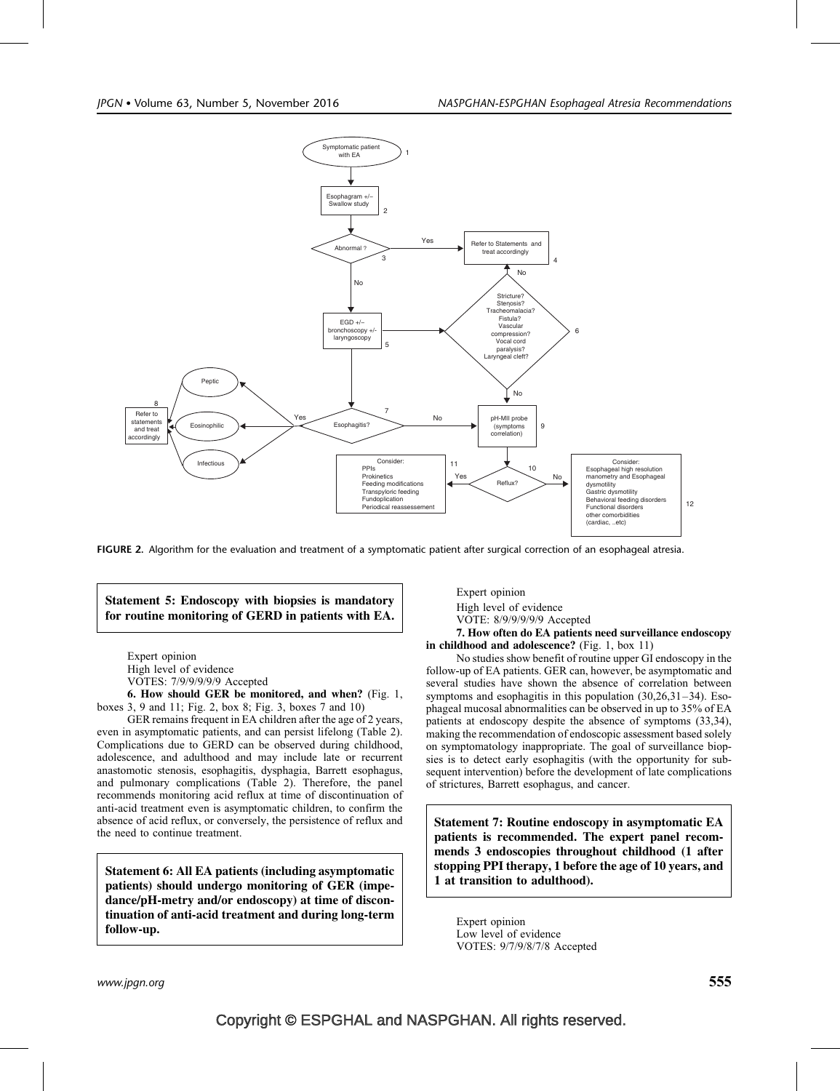<span id="page-5-0"></span>

FIGURE 2. Algorithm for the evaluation and treatment of a symptomatic patient after surgical correction of an esophageal atresia.

Statement 5: Endoscopy with biopsies is mandatory for routine monitoring of GERD in patients with EA.

Expert opinion High level of evidence VOTES: 7/9/9/9/9/9 Accepted

6. How should GER be monitored, and when? ([Fig. 1](#page-2-0), boxes 3, 9 and 11; Fig. 2, box 8; [Fig. 3](#page-6-0), boxes 7 and 10)

GER remains frequent in EA children after the age of 2 years, even in asymptomatic patients, and can persist lifelong [\(Table 2](#page-3-0)). Complications due to GERD can be observed during childhood, adolescence, and adulthood and may include late or recurrent anastomotic stenosis, esophagitis, dysphagia, Barrett esophagus, and pulmonary complications ([Table 2](#page-3-0)). Therefore, the panel recommends monitoring acid reflux at time of discontinuation of anti-acid treatment even is asymptomatic children, to confirm the absence of acid reflux, or conversely, the persistence of reflux and the need to continue treatment.

Statement 6: All EA patients (including asymptomatic patients) should undergo monitoring of GER (impedance/pH-metry and/or endoscopy) at time of discontinuation of anti-acid treatment and during long-term follow-up.

Expert opinion High level of evidence VOTE: 8/9/9/9/9/9 Accepted

7. How often do EA patients need surveillance endoscopy in childhood and adolescence? ([Fig. 1,](#page-2-0) box 11)

No studies show benefit of routine upper GI endoscopy in the follow-up of EA patients. GER can, however, be asymptomatic and several studies have shown the absence of correlation between symptoms and esophagitis in this population [\(30,26,31–34\)](#page-17-0). Esophageal mucosal abnormalities can be observed in up to 35% of EA patients at endoscopy despite the absence of symptoms [\(33,34\),](#page-17-0) making the recommendation of endoscopic assessment based solely on symptomatology inappropriate. The goal of surveillance biopsies is to detect early esophagitis (with the opportunity for subsequent intervention) before the development of late complications of strictures, Barrett esophagus, and cancer.

Statement 7: Routine endoscopy in asymptomatic EA patients is recommended. The expert panel recommends 3 endoscopies throughout childhood (1 after stopping PPI therapy, 1 before the age of 10 years, and 1 at transition to adulthood).

Expert opinion Low level of evidence VOTES: 9/7/9/8/7/8 Accepted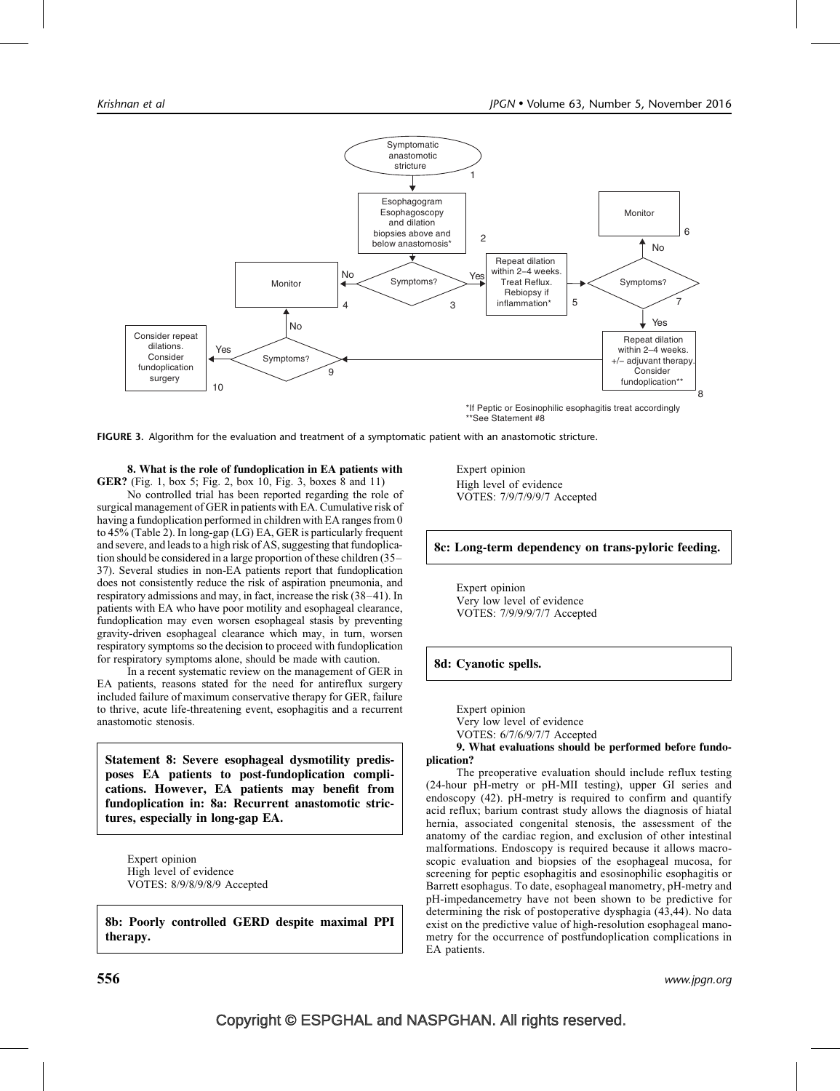<span id="page-6-0"></span>

\*If Peptic or Eosinophilic esophagitis treat accordingly \*\*See Statement #8

FIGURE 3. Algorithm for the evaluation and treatment of a symptomatic patient with an anastomotic stricture.

8. What is the role of fundoplication in EA patients with GER? [\(Fig. 1](#page-2-0), box 5; [Fig. 2](#page-5-0), box 10, Fig. 3, boxes 8 and 11)

No controlled trial has been reported regarding the role of surgical management of GER in patients with EA. Cumulative risk of having a fundoplication performed in children with EA ranges from 0 to 45% [\(Table 2\)](#page-3-0). In long-gap (LG) EA, GER is particularly frequent and severe, and leads to a high risk of AS, suggesting that fundoplication should be considered in a large proportion of these children [\(35–](#page-18-0) [37\)](#page-18-0). Several studies in non-EA patients report that fundoplication does not consistently reduce the risk of aspiration pneumonia, and respiratory admissions and may, in fact, increase the risk [\(38–41\)](#page-18-0). In patients with EA who have poor motility and esophageal clearance, fundoplication may even worsen esophageal stasis by preventing gravity-driven esophageal clearance which may, in turn, worsen respiratory symptoms so the decision to proceed with fundoplication for respiratory symptoms alone, should be made with caution.

In a recent systematic review on the management of GER in EA patients, reasons stated for the need for antireflux surgery included failure of maximum conservative therapy for GER, failure to thrive, acute life-threatening event, esophagitis and a recurrent anastomotic stenosis.

Statement 8: Severe esophageal dysmotility predisposes EA patients to post-fundoplication complications. However, EA patients may benefit from fundoplication in: 8a: Recurrent anastomotic strictures, especially in long-gap EA.

Expert opinion High level of evidence VOTES: 8/9/8/9/8/9 Accepted

8b: Poorly controlled GERD despite maximal PPI therapy.

Expert opinion High level of evidence VOTES: 7/9/7/9/9/7 Accepted

#### 8c: Long-term dependency on trans-pyloric feeding.

Expert opinion Very low level of evidence VOTES: 7/9/9/9/7/7 Accepted

#### 8d: Cyanotic spells.

Expert opinion Very low level of evidence VOTES: 6/7/6/9/7/7 Accepted 9. What evaluations should be performed before fundo-

plication?

The preoperative evaluation should include reflux testing (24-hour pH-metry or pH-MII testing), upper GI series and endoscopy [\(42\)](#page-18-0). pH-metry is required to confirm and quantify acid reflux; barium contrast study allows the diagnosis of hiatal hernia, associated congenital stenosis, the assessment of the anatomy of the cardiac region, and exclusion of other intestinal malformations. Endoscopy is required because it allows macroscopic evaluation and biopsies of the esophageal mucosa, for screening for peptic esophagitis and esosinophilic esophagitis or Barrett esophagus. To date, esophageal manometry, pH-metry and pH-impedancemetry have not been shown to be predictive for determining the risk of postoperative dysphagia [\(43,44\).](#page-18-0) No data exist on the predictive value of high-resolution esophageal manometry for the occurrence of postfundoplication complications in EA patients.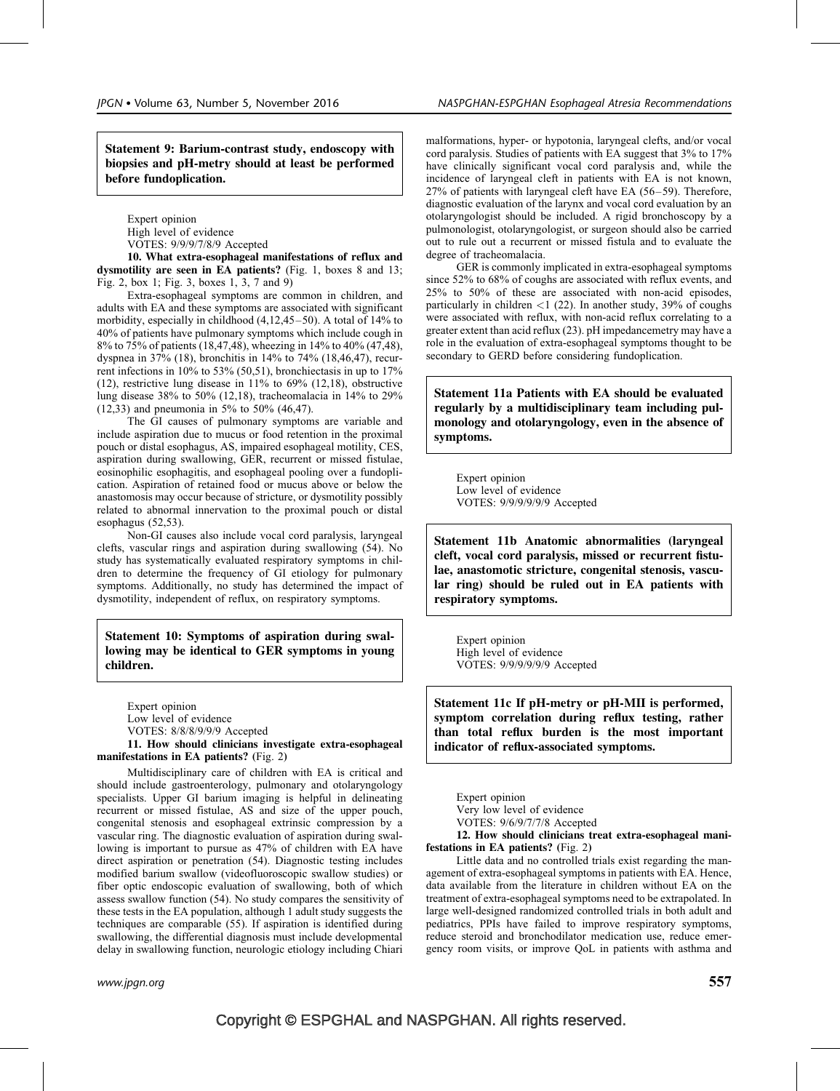Statement 9: Barium-contrast study, endoscopy with biopsies and pH-metry should at least be performed before fundoplication.

Expert opinion High level of evidence VOTES: 9/9/9/7/8/9 Accepted

10. What extra-esophageal manifestations of reflux and dysmotility are seen in EA patients? [\(Fig. 1,](#page-2-0) boxes 8 and 13; [Fig. 2](#page-5-0), box 1; [Fig. 3,](#page-6-0) boxes 1, 3, 7 and 9)

Extra-esophageal symptoms are common in children, and adults with EA and these symptoms are associated with significant morbidity, especially in childhood [\(4,12,45–50\)](#page-17-0). A total of 14% to 40% of patients have pulmonary symptoms which include cough in 8% to 75% of patients [\(18,47,48\)](#page-17-0), wheezing in 14% to 40% [\(47,48\)](#page-18-0), dyspnea in 37% [\(18\)](#page-17-0), bronchitis in 14% to 74% [\(18,46,47\)](#page-17-0), recurrent infections in 10% to 53% [\(50,51\),](#page-18-0) bronchiectasis in up to 17% [\(12\)](#page-17-0), restrictive lung disease in 11% to 69% [\(12,18\),](#page-17-0) obstructive lung disease 38% to 50% [\(12,18\)](#page-17-0), tracheomalacia in 14% to 29% [\(12,33\)](#page-17-0) and pneumonia in 5% to 50% [\(46,47\)](#page-18-0).

The GI causes of pulmonary symptoms are variable and include aspiration due to mucus or food retention in the proximal pouch or distal esophagus, AS, impaired esophageal motility, CES, aspiration during swallowing, GER, recurrent or missed fistulae, eosinophilic esophagitis, and esophageal pooling over a fundoplication. Aspiration of retained food or mucus above or below the anastomosis may occur because of stricture, or dysmotility possibly related to abnormal innervation to the proximal pouch or distal esophagus [\(52,53\)](#page-18-0).

Non-GI causes also include vocal cord paralysis, laryngeal clefts, vascular rings and aspiration during swallowing [\(54\).](#page-18-0) No study has systematically evaluated respiratory symptoms in children to determine the frequency of GI etiology for pulmonary symptoms. Additionally, no study has determined the impact of dysmotility, independent of reflux, on respiratory symptoms.

Statement 10: Symptoms of aspiration during swallowing may be identical to GER symptoms in young children.

Expert opinion Low level of evidence VOTES: 8/8/8/9/9/9 Accepted 11. How should clinicians investigate extra-esophageal

manifestations in EA patients? ([Fig. 2](#page-5-0))

Multidisciplinary care of children with EA is critical and should include gastroenterology, pulmonary and otolaryngology specialists. Upper GI barium imaging is helpful in delineating recurrent or missed fistulae, AS and size of the upper pouch, congenital stenosis and esophageal extrinsic compression by a vascular ring. The diagnostic evaluation of aspiration during swallowing is important to pursue as 47% of children with EA have direct aspiration or penetration [\(54\).](#page-18-0) Diagnostic testing includes modified barium swallow (videofluoroscopic swallow studies) or fiber optic endoscopic evaluation of swallowing, both of which assess swallow function [\(54\)](#page-18-0). No study compares the sensitivity of these tests in the EA population, although 1 adult study suggests the techniques are comparable [\(55\)](#page-18-0). If aspiration is identified during swallowing, the differential diagnosis must include developmental delay in swallowing function, neurologic etiology including Chiari

malformations, hyper- or hypotonia, laryngeal clefts, and/or vocal cord paralysis. Studies of patients with EA suggest that 3% to 17% have clinically significant vocal cord paralysis and, while the incidence of laryngeal cleft in patients with EA is not known, 27% of patients with laryngeal cleft have EA [\(56–59\)](#page-18-0). Therefore, diagnostic evaluation of the larynx and vocal cord evaluation by an otolaryngologist should be included. A rigid bronchoscopy by a pulmonologist, otolaryngologist, or surgeon should also be carried out to rule out a recurrent or missed fistula and to evaluate the degree of tracheomalacia.

GER is commonly implicated in extra-esophageal symptoms since 52% to 68% of coughs are associated with reflux events, and 25% to 50% of these are associated with non-acid episodes, particularly in children  $\langle 1 \rangle$  [\(22\).](#page-17-0) In another study, 39% of coughs were associated with reflux, with non-acid reflux correlating to a greater extent than acid reflux [\(23\).](#page-17-0) pH impedancemetry may have a role in the evaluation of extra-esophageal symptoms thought to be secondary to GERD before considering fundoplication.

Statement 11a Patients with EA should be evaluated regularly by a multidisciplinary team including pulmonology and otolaryngology, even in the absence of symptoms.

Expert opinion Low level of evidence VOTES: 9/9/9/9/9/9 Accepted

Statement 11b Anatomic abnormalities (laryngeal cleft, vocal cord paralysis, missed or recurrent fistulae, anastomotic stricture, congenital stenosis, vascular ring) should be ruled out in EA patients with respiratory symptoms.

Expert opinion High level of evidence VOTES: 9/9/9/9/9/9 Accepted

Statement 11c If pH-metry or pH-MII is performed, symptom correlation during reflux testing, rather than total reflux burden is the most important indicator of reflux-associated symptoms.

Expert opinion Very low level of evidence

VOTES: 9/6/9/7/7/8 Accepted

12. How should clinicians treat extra-esophageal manifestations in EA patients? ([Fig. 2](#page-5-0))

Little data and no controlled trials exist regarding the management of extra-esophageal symptoms in patients with EA. Hence, data available from the literature in children without EA on the treatment of extra-esophageal symptoms need to be extrapolated. In large well-designed randomized controlled trials in both adult and pediatrics, PPIs have failed to improve respiratory symptoms, reduce steroid and bronchodilator medication use, reduce emergency room visits, or improve QoL in patients with asthma and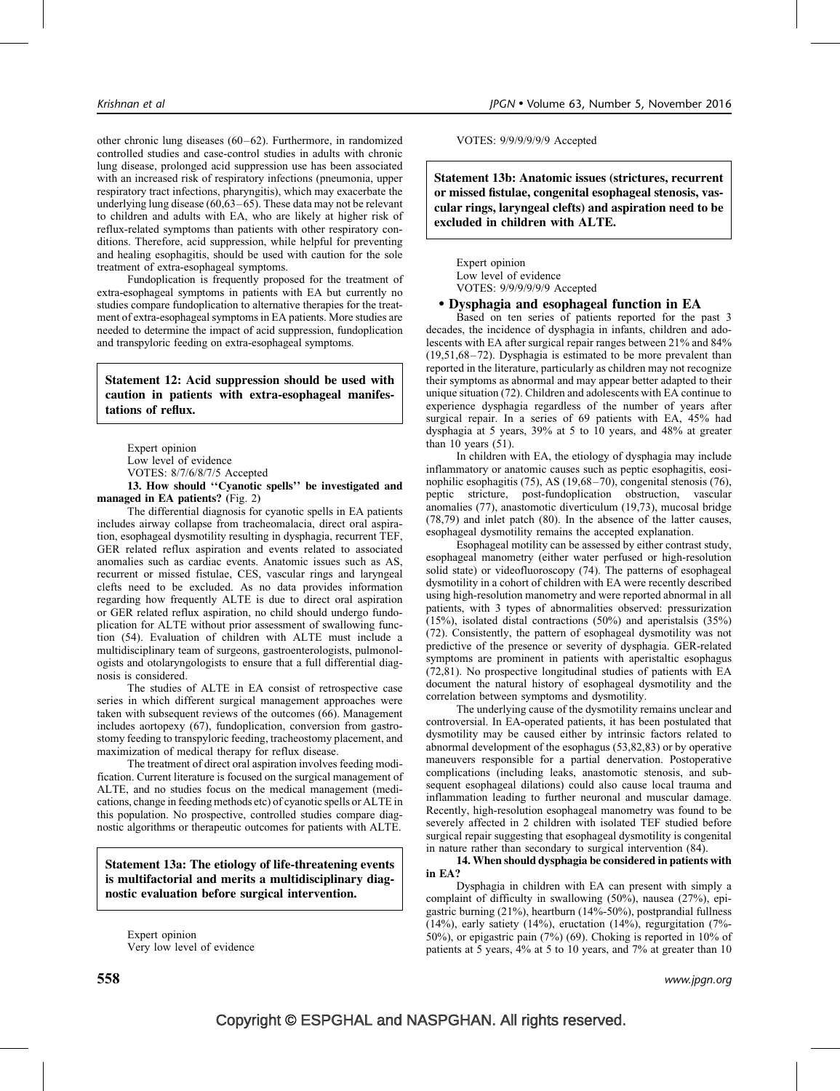other chronic lung diseases [\(60–62\)](#page-18-0). Furthermore, in randomized controlled studies and case-control studies in adults with chronic lung disease, prolonged acid suppression use has been associated with an increased risk of respiratory infections (pneumonia, upper respiratory tract infections, pharyngitis), which may exacerbate the underlying lung disease [\(60,63–65\).](#page-18-0) These data may not be relevant to children and adults with EA, who are likely at higher risk of reflux-related symptoms than patients with other respiratory conditions. Therefore, acid suppression, while helpful for preventing and healing esophagitis, should be used with caution for the sole treatment of extra-esophageal symptoms.

Fundoplication is frequently proposed for the treatment of extra-esophageal symptoms in patients with EA but currently no studies compare fundoplication to alternative therapies for the treatment of extra-esophageal symptoms in EA patients. More studies are needed to determine the impact of acid suppression, fundoplication and transpyloric feeding on extra-esophageal symptoms.

## Statement 12: Acid suppression should be used with caution in patients with extra-esophageal manifestations of reflux.

Expert opinion Low level of evidence VOTES: 8/7/6/8/7/5 Accepted 13. How should ''Cyanotic spells'' be investigated and managed in EA patients? ([Fig. 2](#page-5-0))

The differential diagnosis for cyanotic spells in EA patients includes airway collapse from tracheomalacia, direct oral aspiration, esophageal dysmotility resulting in dysphagia, recurrent TEF, GER related reflux aspiration and events related to associated anomalies such as cardiac events. Anatomic issues such as AS, recurrent or missed fistulae, CES, vascular rings and laryngeal clefts need to be excluded. As no data provides information regarding how frequently ALTE is due to direct oral aspiration or GER related reflux aspiration, no child should undergo fundoplication for ALTE without prior assessment of swallowing function [\(54\).](#page-18-0) Evaluation of children with ALTE must include a multidisciplinary team of surgeons, gastroenterologists, pulmonologists and otolaryngologists to ensure that a full differential diagnosis is considered.

The studies of ALTE in EA consist of retrospective case series in which different surgical management approaches were taken with subsequent reviews of the outcomes [\(66\).](#page-18-0) Management includes aortopexy [\(67\),](#page-18-0) fundoplication, conversion from gastrostomy feeding to transpyloric feeding, tracheostomy placement, and maximization of medical therapy for reflux disease.

The treatment of direct oral aspiration involves feeding modification. Current literature is focused on the surgical management of ALTE, and no studies focus on the medical management (medications, change in feeding methods etc) of cyanotic spells or ALTE in this population. No prospective, controlled studies compare diagnostic algorithms or therapeutic outcomes for patients with ALTE.

Statement 13a: The etiology of life-threatening events is multifactorial and merits a multidisciplinary diagnostic evaluation before surgical intervention.

Expert opinion Very low level of evidence VOTES: 9/9/9/9/9/9 Accepted

Statement 13b: Anatomic issues (strictures, recurrent or missed fistulae, congenital esophageal stenosis, vascular rings, laryngeal clefts) and aspiration need to be excluded in children with ALTE.

Expert opinion Low level of evidence VOTES: 9/9/9/9/9/9 Accepted

#### Dysphagia and esophageal function in EA

Based on ten series of patients reported for the past 3 decades, the incidence of dysphagia in infants, children and adolescents with EA after surgical repair ranges between 21% and 84% [\(19,51,68–72\)](#page-17-0). Dysphagia is estimated to be more prevalent than reported in the literature, particularly as children may not recognize their symptoms as abnormal and may appear better adapted to their unique situation [\(72\).](#page-18-0) Children and adolescents with EA continue to experience dysphagia regardless of the number of years after surgical repair. In a series of 69 patients with EA, 45% had dysphagia at 5 years, 39% at 5 to 10 years, and 48% at greater than  $10$  years  $(51)$ .

In children with EA, the etiology of dysphagia may include inflammatory or anatomic causes such as peptic esophagitis, eosinophilic esophagitis [\(75\)](#page-18-0), AS [\(19,68–70\),](#page-17-0) congenital stenosis [\(76\),](#page-18-0) peptic stricture, post-fundoplication obstruction, vascular anomalies [\(77\)](#page-18-0), anastomotic diverticulum [\(19,73\)](#page-17-0), mucosal bridge [\(78,79\)](#page-18-0) and inlet patch [\(80\).](#page-18-0) In the absence of the latter causes, esophageal dysmotility remains the accepted explanation.

Esophageal motility can be assessed by either contrast study, esophageal manometry (either water perfused or high-resolution solid state) or videofluoroscopy [\(74\)](#page-18-0). The patterns of esophageal dysmotility in a cohort of children with EA were recently described using high-resolution manometry and were reported abnormal in all patients, with 3 types of abnormalities observed: pressurization (15%), isolated distal contractions (50%) and aperistalsis (35%) [\(72\).](#page-18-0) Consistently, the pattern of esophageal dysmotility was not predictive of the presence or severity of dysphagia. GER-related symptoms are prominent in patients with aperistaltic esophagus [\(72,81\)](#page-18-0). No prospective longitudinal studies of patients with EA document the natural history of esophageal dysmotility and the correlation between symptoms and dysmotility.

The underlying cause of the dysmotility remains unclear and controversial. In EA-operated patients, it has been postulated that dysmotility may be caused either by intrinsic factors related to abnormal development of the esophagus [\(53,82,83\)](#page-18-0) or by operative maneuvers responsible for a partial denervation. Postoperative complications (including leaks, anastomotic stenosis, and subsequent esophageal dilations) could also cause local trauma and inflammation leading to further neuronal and muscular damage. Recently, high-resolution esophageal manometry was found to be severely affected in 2 children with isolated TEF studied before surgical repair suggesting that esophageal dysmotility is congenital in nature rather than secondary to surgical intervention [\(84\)](#page-19-0).

#### 14. When should dysphagia be considered in patients with in EA?

Dysphagia in children with EA can present with simply a complaint of difficulty in swallowing (50%), nausea (27%), epigastric burning (21%), heartburn (14%-50%), postprandial fullness (14%), early satiety (14%), eructation (14%), regurgitation (7%- 50%), or epigastric pain (7%) [\(69\)](#page-18-0). Choking is reported in 10% of patients at 5 years, 4% at 5 to 10 years, and 7% at greater than 10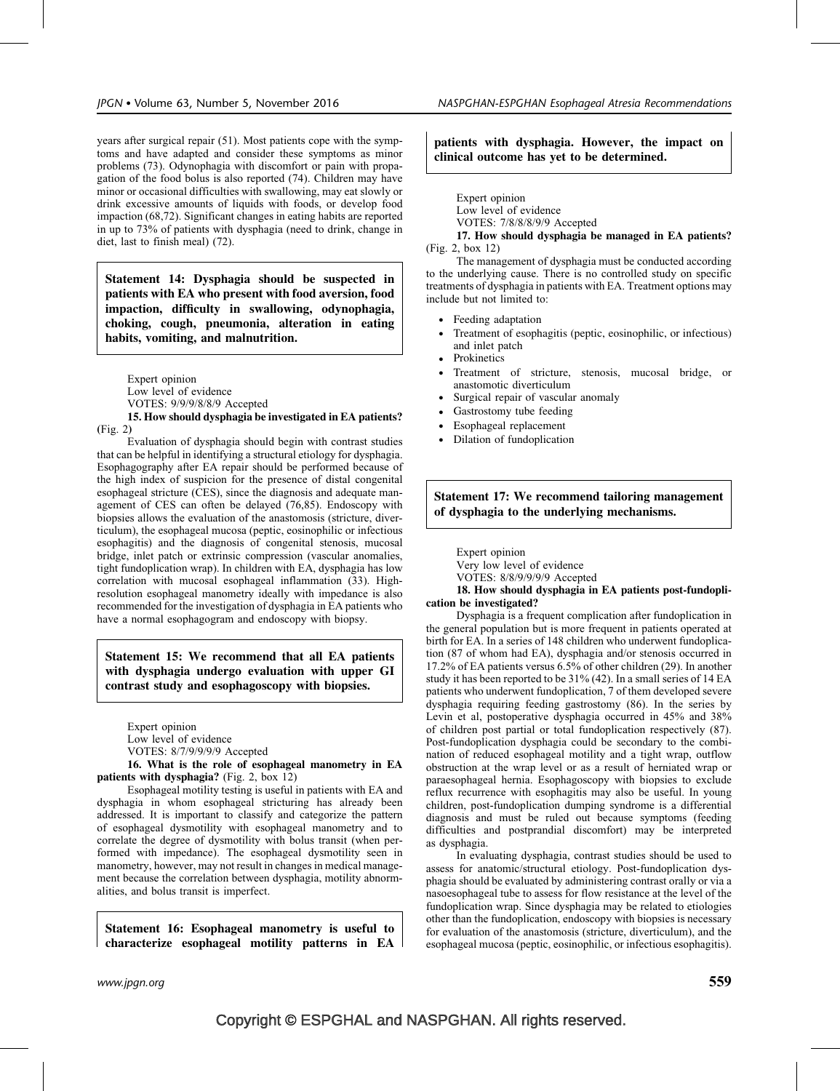years after surgical repair [\(51\).](#page-18-0) Most patients cope with the symptoms and have adapted and consider these symptoms as minor problems [\(73\).](#page-18-0) Odynophagia with discomfort or pain with propagation of the food bolus is also reported [\(74\)](#page-18-0). Children may have minor or occasional difficulties with swallowing, may eat slowly or drink excessive amounts of liquids with foods, or develop food impaction [\(68,72\).](#page-18-0) Significant changes in eating habits are reported in up to 73% of patients with dysphagia (need to drink, change in diet, last to finish meal) [\(72\).](#page-18-0)

Statement 14: Dysphagia should be suspected in patients with EA who present with food aversion, food impaction, difficulty in swallowing, odynophagia, choking, cough, pneumonia, alteration in eating habits, vomiting, and malnutrition.

Expert opinion Low level of evidence VOTES: 9/9/9/8/8/9 Accepted 15. How should dysphagia be investigated in EA patients?

([Fig. 2](#page-5-0))

Evaluation of dysphagia should begin with contrast studies that can be helpful in identifying a structural etiology for dysphagia. Esophagography after EA repair should be performed because of the high index of suspicion for the presence of distal congenital esophageal stricture (CES), since the diagnosis and adequate management of CES can often be delayed [\(76,85\).](#page-18-0) Endoscopy with biopsies allows the evaluation of the anastomosis (stricture, diverticulum), the esophageal mucosa (peptic, eosinophilic or infectious esophagitis) and the diagnosis of congenital stenosis, mucosal bridge, inlet patch or extrinsic compression (vascular anomalies, tight fundoplication wrap). In children with EA, dysphagia has low correlation with mucosal esophageal inflammation [\(33\)](#page-17-0). Highresolution esophageal manometry ideally with impedance is also recommended for the investigation of dysphagia in EA patients who have a normal esophagogram and endoscopy with biopsy.

Statement 15: We recommend that all EA patients with dysphagia undergo evaluation with upper GI contrast study and esophagoscopy with biopsies.

Expert opinion Low level of evidence VOTES: 8/7/9/9/9/9 Accepted

16. What is the role of esophageal manometry in EA patients with dysphagia? ([Fig. 2,](#page-5-0) box 12)

Esophageal motility testing is useful in patients with EA and dysphagia in whom esophageal stricturing has already been addressed. It is important to classify and categorize the pattern of esophageal dysmotility with esophageal manometry and to correlate the degree of dysmotility with bolus transit (when performed with impedance). The esophageal dysmotility seen in manometry, however, may not result in changes in medical management because the correlation between dysphagia, motility abnormalities, and bolus transit is imperfect.

Statement 16: Esophageal manometry is useful to characterize esophageal motility patterns in EA

patients with dysphagia. However, the impact on clinical outcome has yet to be determined.

Expert opinion Low level of evidence VOTES: 7/8/8/8/9/9 Accepted

17. How should dysphagia be managed in EA patients? ([Fig. 2,](#page-5-0) box 12)

The management of dysphagia must be conducted according to the underlying cause. There is no controlled study on specific treatments of dysphagia in patients with EA. Treatment options may include but not limited to:

- Feeding adaptation
- Treatment of esophagitis (peptic, eosinophilic, or infectious) and inlet patch
- Prokinetics
- Treatment of stricture, stenosis, mucosal bridge, or anastomotic diverticulum
- Surgical repair of vascular anomaly
- Gastrostomy tube feeding
- Esophageal replacement
- Dilation of fundoplication

## Statement 17: We recommend tailoring management of dysphagia to the underlying mechanisms.

Expert opinion Very low level of evidence VOTES: 8/8/9/9/9/9 Accepted

#### 18. How should dysphagia in EA patients post-fundoplication be investigated?

Dysphagia is a frequent complication after fundoplication in the general population but is more frequent in patients operated at birth for EA. In a series of 148 children who underwent fundoplication (87 of whom had EA), dysphagia and/or stenosis occurred in 17.2% of EA patients versus 6.5% of other children [\(29\)](#page-17-0). In another study it has been reported to be 31% [\(42\)](#page-18-0). In a small series of 14 EA patients who underwent fundoplication, 7 of them developed severe dysphagia requiring feeding gastrostomy [\(86\).](#page-19-0) In the series by Levin et al, postoperative dysphagia occurred in 45% and 38% of children post partial or total fundoplication respectively [\(87\).](#page-19-0) Post-fundoplication dysphagia could be secondary to the combination of reduced esophageal motility and a tight wrap, outflow obstruction at the wrap level or as a result of herniated wrap or paraesophageal hernia. Esophagoscopy with biopsies to exclude reflux recurrence with esophagitis may also be useful. In young children, post-fundoplication dumping syndrome is a differential diagnosis and must be ruled out because symptoms (feeding difficulties and postprandial discomfort) may be interpreted as dysphagia.

In evaluating dysphagia, contrast studies should be used to assess for anatomic/structural etiology. Post-fundoplication dysphagia should be evaluated by administering contrast orally or via a nasoesophageal tube to assess for flow resistance at the level of the fundoplication wrap. Since dysphagia may be related to etiologies other than the fundoplication, endoscopy with biopsies is necessary for evaluation of the anastomosis (stricture, diverticulum), and the esophageal mucosa (peptic, eosinophilic, or infectious esophagitis).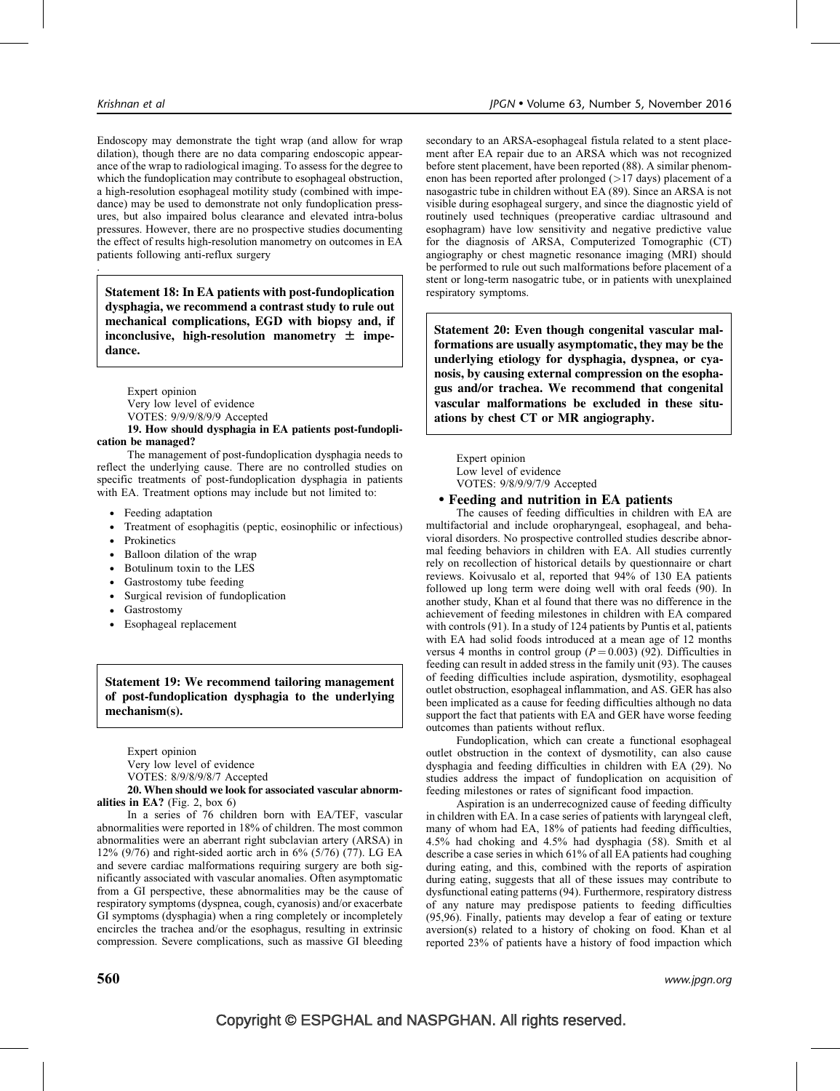.

Endoscopy may demonstrate the tight wrap (and allow for wrap dilation), though there are no data comparing endoscopic appearance of the wrap to radiological imaging. To assess for the degree to which the fundoplication may contribute to esophageal obstruction, a high-resolution esophageal motility study (combined with impedance) may be used to demonstrate not only fundoplication pressures, but also impaired bolus clearance and elevated intra-bolus pressures. However, there are no prospective studies documenting the effect of results high-resolution manometry on outcomes in EA patients following anti-reflux surgery

Statement 18: In EA patients with post-fundoplication dysphagia, we recommend a contrast study to rule out mechanical complications, EGD with biopsy and, if inconclusive, high-resolution manometry  $\pm$  impedance.

Expert opinion Very low level of evidence VOTES: 9/9/9/8/9/9 Accepted

19. How should dysphagia in EA patients post-fundoplication be managed?

The management of post-fundoplication dysphagia needs to reflect the underlying cause. There are no controlled studies on specific treatments of post-fundoplication dysphagia in patients with EA. Treatment options may include but not limited to:

- Feeding adaptation
- Treatment of esophagitis (peptic, eosinophilic or infectious)
- **Prokinetics**
- Balloon dilation of the wrap
- Botulinum toxin to the LES
- Gastrostomy tube feeding
- Surgical revision of fundoplication
- Gastrostomy
- Esophageal replacement

Statement 19: We recommend tailoring management of post-fundoplication dysphagia to the underlying mechanism(s).

Expert opinion Very low level of evidence VOTES: 8/9/8/9/8/7 Accepted

20. When should we look for associated vascular abnormalities in EA? [\(Fig. 2](#page-5-0), box 6)

In a series of 76 children born with EA/TEF, vascular abnormalities were reported in 18% of children. The most common abnormalities were an aberrant right subclavian artery (ARSA) in 12% (9/76) and right-sided aortic arch in 6% (5/76) [\(77\)](#page-18-0). LG EA and severe cardiac malformations requiring surgery are both significantly associated with vascular anomalies. Often asymptomatic from a GI perspective, these abnormalities may be the cause of respiratory symptoms (dyspnea, cough, cyanosis) and/or exacerbate GI symptoms (dysphagia) when a ring completely or incompletely encircles the trachea and/or the esophagus, resulting in extrinsic compression. Severe complications, such as massive GI bleeding

secondary to an ARSA-esophageal fistula related to a stent placement after EA repair due to an ARSA which was not recognized before stent placement, have been reported [\(88\)](#page-19-0). A similar phenomenon has been reported after prolonged  $(>17$  days) placement of a nasogastric tube in children without EA [\(89\).](#page-19-0) Since an ARSA is not visible during esophageal surgery, and since the diagnostic yield of routinely used techniques (preoperative cardiac ultrasound and esophagram) have low sensitivity and negative predictive value for the diagnosis of ARSA, Computerized Tomographic (CT) angiography or chest magnetic resonance imaging (MRI) should be performed to rule out such malformations before placement of a stent or long-term nasogatric tube, or in patients with unexplained respiratory symptoms.

Statement 20: Even though congenital vascular malformations are usually asymptomatic, they may be the underlying etiology for dysphagia, dyspnea, or cyanosis, by causing external compression on the esophagus and/or trachea. We recommend that congenital vascular malformations be excluded in these situations by chest CT or MR angiography.

Expert opinion Low level of evidence VOTES: 9/8/9/9/7/9 Accepted

## Feeding and nutrition in EA patients

The causes of feeding difficulties in children with EA are multifactorial and include oropharyngeal, esophageal, and behavioral disorders. No prospective controlled studies describe abnormal feeding behaviors in children with EA. All studies currently rely on recollection of historical details by questionnaire or chart reviews. Koivusalo et al, reported that 94% of 130 EA patients followed up long term were doing well with oral feeds [\(90\)](#page-19-0). In another study, Khan et al found that there was no difference in the achievement of feeding milestones in children with EA compared with controls [\(91\)](#page-19-0). In a study of 124 patients by Puntis et al, patients with EA had solid foods introduced at a mean age of 12 months versus 4 months in control group  $(P = 0.003)$  [\(92\).](#page-19-0) Difficulties in feeding can result in added stress in the family unit [\(93\)](#page-19-0). The causes of feeding difficulties include aspiration, dysmotility, esophageal outlet obstruction, esophageal inflammation, and AS. GER has also been implicated as a cause for feeding difficulties although no data support the fact that patients with EA and GER have worse feeding outcomes than patients without reflux.

Fundoplication, which can create a functional esophageal outlet obstruction in the context of dysmotility, can also cause dysphagia and feeding difficulties in children with EA [\(29\)](#page-17-0). No studies address the impact of fundoplication on acquisition of feeding milestones or rates of significant food impaction.

Aspiration is an underrecognized cause of feeding difficulty in children with EA. In a case series of patients with laryngeal cleft, many of whom had EA, 18% of patients had feeding difficulties, 4.5% had choking and 4.5% had dysphagia [\(58\).](#page-18-0) Smith et al describe a case series in which 61% of all EA patients had coughing during eating, and this, combined with the reports of aspiration during eating, suggests that all of these issues may contribute to dysfunctional eating patterns [\(94\).](#page-19-0) Furthermore, respiratory distress of any nature may predispose patients to feeding difficulties [\(95,96\)](#page-19-0). Finally, patients may develop a fear of eating or texture aversion(s) related to a history of choking on food. Khan et al reported 23% of patients have a history of food impaction which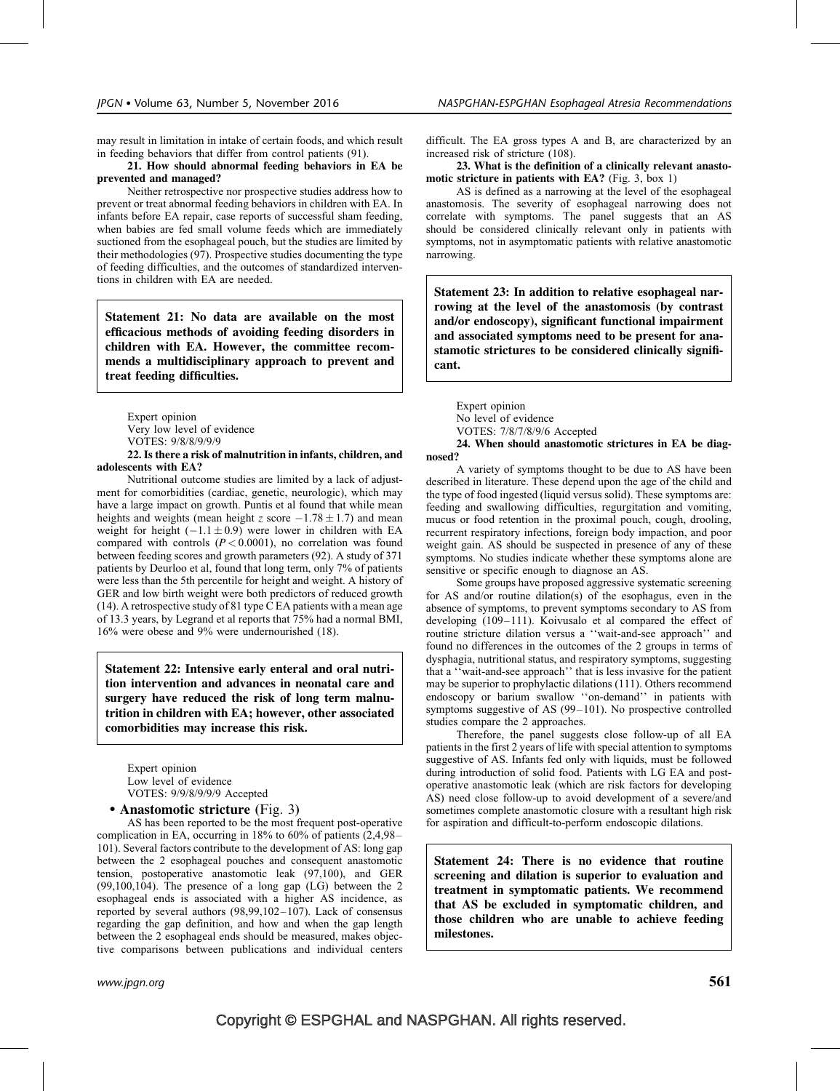may result in limitation in intake of certain foods, and which result in feeding behaviors that differ from control patients [\(91\).](#page-19-0)

#### 21. How should abnormal feeding behaviors in EA be prevented and managed?

Neither retrospective nor prospective studies address how to prevent or treat abnormal feeding behaviors in children with EA. In infants before EA repair, case reports of successful sham feeding, when babies are fed small volume feeds which are immediately suctioned from the esophageal pouch, but the studies are limited by their methodologies [\(97\).](#page-19-0) Prospective studies documenting the type of feeding difficulties, and the outcomes of standardized interventions in children with EA are needed.

Statement 21: No data are available on the most efficacious methods of avoiding feeding disorders in children with EA. However, the committee recommends a multidisciplinary approach to prevent and treat feeding difficulties.

Expert opinion Very low level of evidence VOTES: 9/8/8/9/9/9

22. Is there a risk of malnutrition in infants, children, and adolescents with EA?

Nutritional outcome studies are limited by a lack of adjustment for comorbidities (cardiac, genetic, neurologic), which may have a large impact on growth. Puntis et al found that while mean heights and weights (mean height z score  $-1.78 \pm 1.7$ ) and mean weight for height  $(-1.1 \pm 0.9)$  were lower in children with EA compared with controls  $(P < 0.0001)$ , no correlation was found between feeding scores and growth parameters [\(92\).](#page-19-0) A study of 371 patients by Deurloo et al, found that long term, only 7% of patients were less than the 5th percentile for height and weight. A history of GER and low birth weight were both predictors of reduced growth [\(14\)](#page-17-0). A retrospective study of 81 type C EA patients with a mean age of 13.3 years, by Legrand et al reports that 75% had a normal BMI, 16% were obese and 9% were undernourished [\(18\).](#page-17-0)

Statement 22: Intensive early enteral and oral nutrition intervention and advances in neonatal care and surgery have reduced the risk of long term malnutrition in children with EA; however, other associated comorbidities may increase this risk.

Expert opinion Low level of evidence VOTES: 9/9/8/9/9/9 Accepted

#### • Anastomotic stricture ([Fig. 3](#page-6-0))

AS has been reported to be the most frequent post-operative complication in EA, occurring in 18% to 60% of patients [\(2,4,98–](#page-17-0) [101\).](#page-17-0) Several factors contribute to the development of AS: long gap between the 2 esophageal pouches and consequent anastomotic tension, postoperative anastomotic leak [\(97,100\)](#page-19-0), and GER [\(99,100,104\).](#page-19-0) The presence of a long gap (LG) between the 2 esophageal ends is associated with a higher AS incidence, as reported by several authors [\(98,99,102–107\).](#page-19-0) Lack of consensus regarding the gap definition, and how and when the gap length between the 2 esophageal ends should be measured, makes objective comparisons between publications and individual centers

difficult. The EA gross types A and B, are characterized by an increased risk of stricture [\(108\).](#page-19-0)

23. What is the definition of a clinically relevant anasto-motic stricture in patients with EA? ([Fig. 3,](#page-6-0) box 1)

AS is defined as a narrowing at the level of the esophageal anastomosis. The severity of esophageal narrowing does not correlate with symptoms. The panel suggests that an AS should be considered clinically relevant only in patients with symptoms, not in asymptomatic patients with relative anastomotic narrowing.

Statement 23: In addition to relative esophageal narrowing at the level of the anastomosis (by contrast and/or endoscopy), significant functional impairment and associated symptoms need to be present for anastamotic strictures to be considered clinically significant.

Expert opinion No level of evidence VOTES: 7/8/7/8/9/6 Accepted

24. When should anastomotic strictures in EA be diagnosed? A variety of symptoms thought to be due to AS have been

described in literature. These depend upon the age of the child and the type of food ingested (liquid versus solid). These symptoms are: feeding and swallowing difficulties, regurgitation and vomiting, mucus or food retention in the proximal pouch, cough, drooling, recurrent respiratory infections, foreign body impaction, and poor weight gain. AS should be suspected in presence of any of these symptoms. No studies indicate whether these symptoms alone are sensitive or specific enough to diagnose an AS.

Some groups have proposed aggressive systematic screening for AS and/or routine dilation(s) of the esophagus, even in the absence of symptoms, to prevent symptoms secondary to AS from developing [\(109–111\)](#page-19-0). Koivusalo et al compared the effect of routine stricture dilation versus a ''wait-and-see approach'' and found no differences in the outcomes of the 2 groups in terms of dysphagia, nutritional status, and respiratory symptoms, suggesting that a ''wait-and-see approach'' that is less invasive for the patient may be superior to prophylactic dilations [\(111\)](#page-19-0). Others recommend endoscopy or barium swallow ''on-demand'' in patients with symptoms suggestive of AS [\(99–101\)](#page-19-0). No prospective controlled studies compare the 2 approaches.

Therefore, the panel suggests close follow-up of all EA patients in the first 2 years of life with special attention to symptoms suggestive of AS. Infants fed only with liquids, must be followed during introduction of solid food. Patients with LG EA and postoperative anastomotic leak (which are risk factors for developing AS) need close follow-up to avoid development of a severe/and sometimes complete anastomotic closure with a resultant high risk for aspiration and difficult-to-perform endoscopic dilations.

Statement 24: There is no evidence that routine screening and dilation is superior to evaluation and treatment in symptomatic patients. We recommend that AS be excluded in symptomatic children, and those children who are unable to achieve feeding milestones.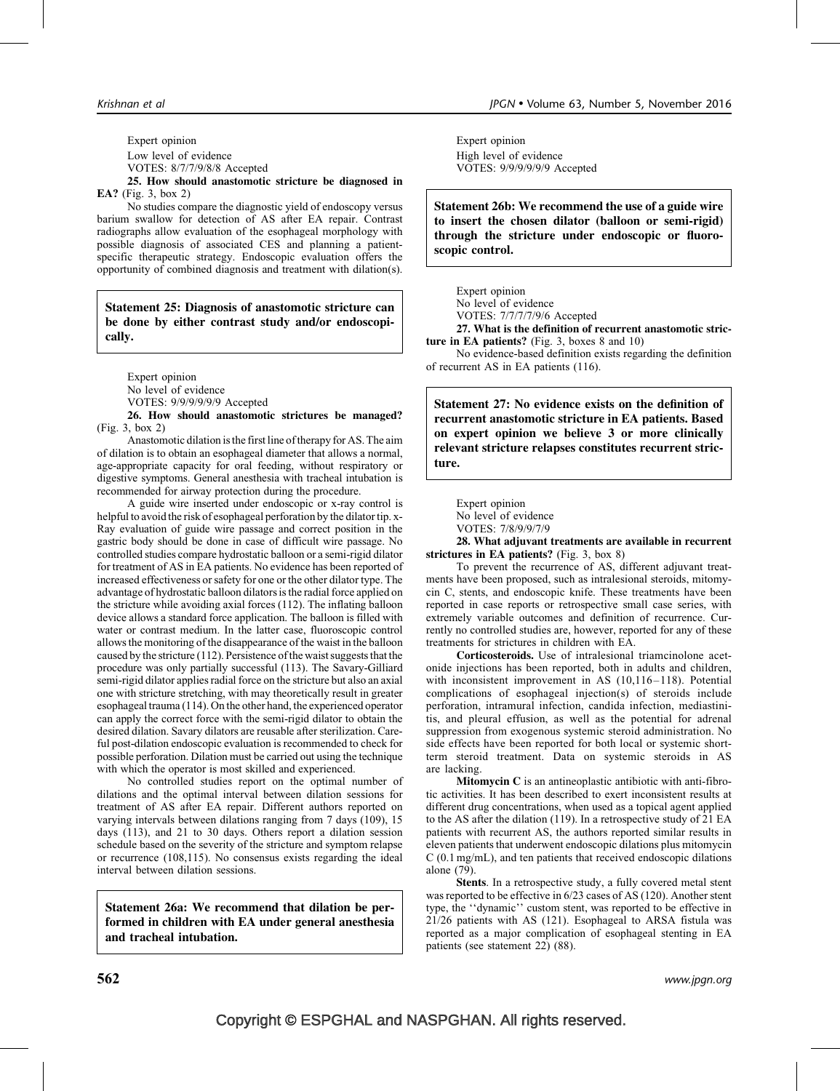Expert opinion Low level of evidence VOTES: 8/7/7/9/8/8 Accepted

25. How should anastomotic stricture be diagnosed in EA? [\(Fig. 3](#page-6-0), box 2)

No studies compare the diagnostic yield of endoscopy versus barium swallow for detection of AS after EA repair. Contrast radiographs allow evaluation of the esophageal morphology with possible diagnosis of associated CES and planning a patientspecific therapeutic strategy. Endoscopic evaluation offers the opportunity of combined diagnosis and treatment with dilation(s).

Statement 25: Diagnosis of anastomotic stricture can be done by either contrast study and/or endoscopically.

Expert opinion No level of evidence VOTES: 9/9/9/9/9/9 Accepted

26. How should anastomotic strictures be managed? ([Fig. 3](#page-6-0), box 2)

Anastomotic dilation is the first line of therapy for AS. The aim of dilation is to obtain an esophageal diameter that allows a normal, age-appropriate capacity for oral feeding, without respiratory or digestive symptoms. General anesthesia with tracheal intubation is recommended for airway protection during the procedure.

A guide wire inserted under endoscopic or x-ray control is helpful to avoid the risk of esophageal perforation by the dilator tip. x-Ray evaluation of guide wire passage and correct position in the gastric body should be done in case of difficult wire passage. No controlled studies compare hydrostatic balloon or a semi-rigid dilator for treatment of AS in EA patients. No evidence has been reported of increased effectiveness or safety for one or the other dilator type. The advantage of hydrostatic balloon dilators is the radial force applied on the stricture while avoiding axial forces [\(112\)](#page-19-0). The inflating balloon device allows a standard force application. The balloon is filled with water or contrast medium. In the latter case, fluoroscopic control allows the monitoring of the disappearance of the waist in the balloon caused by the stricture [\(112\)](#page-19-0). Persistence of the waist suggests that the procedure was only partially successful [\(113\).](#page-19-0) The Savary-Gilliard semi-rigid dilator applies radial force on the stricture but also an axial one with stricture stretching, with may theoretically result in greater esophageal trauma [\(114\).](#page-19-0) On the other hand, the experienced operator can apply the correct force with the semi-rigid dilator to obtain the desired dilation. Savary dilators are reusable after sterilization. Careful post-dilation endoscopic evaluation is recommended to check for possible perforation. Dilation must be carried out using the technique with which the operator is most skilled and experienced.

No controlled studies report on the optimal number of dilations and the optimal interval between dilation sessions for treatment of AS after EA repair. Different authors reported on varying intervals between dilations ranging from 7 days [\(109\)](#page-19-0), 15 days [\(113\)](#page-19-0), and 21 to 30 days. Others report a dilation session schedule based on the severity of the stricture and symptom relapse or recurrence [\(108,115\).](#page-19-0) No consensus exists regarding the ideal interval between dilation sessions.

Statement 26a: We recommend that dilation be performed in children with EA under general anesthesia and tracheal intubation.

Expert opinion High level of evidence VOTES: 9/9/9/9/9/9 Accepted

Statement 26b: We recommend the use of a guide wire to insert the chosen dilator (balloon or semi-rigid) through the stricture under endoscopic or fluoroscopic control.

Expert opinion No level of evidence

VOTES: 7/7/7/7/9/6 Accepted

27. What is the definition of recurrent anastomotic stricture in EA patients? [\(Fig. 3](#page-6-0), boxes 8 and 10)

No evidence-based definition exists regarding the definition of recurrent AS in EA patients [\(116\).](#page-19-0)

Statement 27: No evidence exists on the definition of recurrent anastomotic stricture in EA patients. Based on expert opinion we believe 3 or more clinically relevant stricture relapses constitutes recurrent stricture.

Expert opinion No level of evidence VOTES: 7/8/9/9/7/9

28. What adjuvant treatments are available in recurrent strictures in EA patients? ([Fig. 3,](#page-6-0) box 8)

To prevent the recurrence of AS, different adjuvant treatments have been proposed, such as intralesional steroids, mitomycin C, stents, and endoscopic knife. These treatments have been reported in case reports or retrospective small case series, with extremely variable outcomes and definition of recurrence. Currently no controlled studies are, however, reported for any of these treatments for strictures in children with EA.

Corticosteroids. Use of intralesional triamcinolone acetonide injections has been reported, both in adults and children, with inconsistent improvement in AS [\(10,116–118\)](#page-17-0). Potential complications of esophageal injection(s) of steroids include perforation, intramural infection, candida infection, mediastinitis, and pleural effusion, as well as the potential for adrenal suppression from exogenous systemic steroid administration. No side effects have been reported for both local or systemic shortterm steroid treatment. Data on systemic steroids in AS are lacking.

Mitomycin C is an antineoplastic antibiotic with anti-fibrotic activities. It has been described to exert inconsistent results at different drug concentrations, when used as a topical agent applied to the AS after the dilation [\(119\)](#page-19-0). In a retrospective study of 21 EA patients with recurrent AS, the authors reported similar results in eleven patients that underwent endoscopic dilations plus mitomycin C (0.1 mg/mL), and ten patients that received endoscopic dilations alone [\(79\)](#page-18-0).

Stents. In a retrospective study, a fully covered metal stent was reported to be effective in 6/23 cases of AS [\(120\).](#page-19-0) Another stent type, the ''dynamic'' custom stent, was reported to be effective in 21/26 patients with AS [\(121\).](#page-19-0) Esophageal to ARSA fistula was reported as a major complication of esophageal stenting in EA patients (see statement 22) [\(88\).](#page-19-0)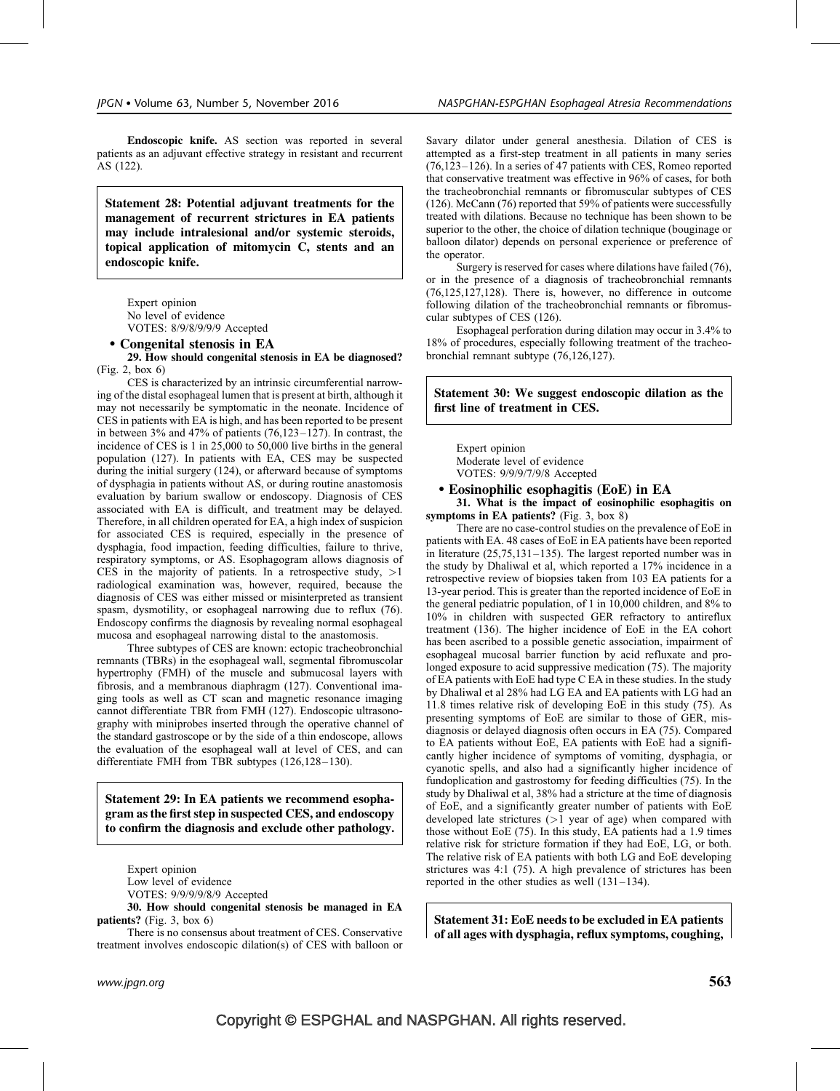Endoscopic knife. AS section was reported in several patients as an adjuvant effective strategy in resistant and recurrent AS [\(122\)](#page-19-0).

Statement 28: Potential adjuvant treatments for the management of recurrent strictures in EA patients may include intralesional and/or systemic steroids, topical application of mitomycin C, stents and an endoscopic knife.

Expert opinion No level of evidence VOTES: 8/9/8/9/9/9 Accepted

Congenital stenosis in EA

29. How should congenital stenosis in EA be diagnosed? ([Fig. 2](#page-5-0), box 6)

CES is characterized by an intrinsic circumferential narrowing of the distal esophageal lumen that is present at birth, although it may not necessarily be symptomatic in the neonate. Incidence of CES in patients with EA is high, and has been reported to be present in between 3% and 47% of patients [\(76,123–127\)](#page-18-0). In contrast, the incidence of CES is 1 in 25,000 to 50,000 live births in the general population [\(127\).](#page-19-0) In patients with EA, CES may be suspected during the initial surgery [\(124\)](#page-19-0), or afterward because of symptoms of dysphagia in patients without AS, or during routine anastomosis evaluation by barium swallow or endoscopy. Diagnosis of CES associated with EA is difficult, and treatment may be delayed. Therefore, in all children operated for EA, a high index of suspicion for associated CES is required, especially in the presence of dysphagia, food impaction, feeding difficulties, failure to thrive, respiratory symptoms, or AS. Esophagogram allows diagnosis of CES in the majority of patients. In a retrospective study,  $>1$ radiological examination was, however, required, because the diagnosis of CES was either missed or misinterpreted as transient spasm, dysmotility, or esophageal narrowing due to reflux [\(76\)](#page-18-0). Endoscopy confirms the diagnosis by revealing normal esophageal mucosa and esophageal narrowing distal to the anastomosis.

Three subtypes of CES are known: ectopic tracheobronchial remnants (TBRs) in the esophageal wall, segmental fibromuscolar hypertrophy (FMH) of the muscle and submucosal layers with fibrosis, and a membranous diaphragm [\(127\).](#page-19-0) Conventional imaging tools as well as CT scan and magnetic resonance imaging cannot differentiate TBR from FMH [\(127\).](#page-19-0) Endoscopic ultrasonography with miniprobes inserted through the operative channel of the standard gastroscope or by the side of a thin endoscope, allows the evaluation of the esophageal wall at level of CES, and can differentiate FMH from TBR subtypes [\(126,128–130\).](#page-19-0)

Statement 29: In EA patients we recommend esophagram as the first step in suspected CES, and endoscopy to confirm the diagnosis and exclude other pathology.

Expert opinion Low level of evidence VOTES: 9/9/9/9/8/9 Accepted 30. How should congenital stenosis be managed in EA

patients? [\(Fig. 3,](#page-6-0) box 6)

There is no consensus about treatment of CES. Conservative treatment involves endoscopic dilation(s) of CES with balloon or Savary dilator under general anesthesia. Dilation of CES is attempted as a first-step treatment in all patients in many series [\(76,123–126\).](#page-18-0) In a series of 47 patients with CES, Romeo reported that conservative treatment was effective in 96% of cases, for both the tracheobronchial remnants or fibromuscular subtypes of CES [\(126\)](#page-19-0). McCann [\(76\)](#page-18-0) reported that 59% of patients were successfully treated with dilations. Because no technique has been shown to be superior to the other, the choice of dilation technique (bouginage or balloon dilator) depends on personal experience or preference of the operator.

Surgery is reserved for cases where dilations have failed [\(76\),](#page-18-0) or in the presence of a diagnosis of tracheobronchial remnants [\(76,125,127,128\).](#page-18-0) There is, however, no difference in outcome following dilation of the tracheobronchial remnants or fibromuscular subtypes of CES [\(126\).](#page-19-0)

Esophageal perforation during dilation may occur in 3.4% to 18% of procedures, especially following treatment of the tracheobronchial remnant subtype [\(76,126,127\).](#page-18-0)

Statement 30: We suggest endoscopic dilation as the first line of treatment in CES.

Expert opinion Moderate level of evidence VOTES: 9/9/9/7/9/8 Accepted

 Eosinophilic esophagitis (EoE) in EA 31. What is the impact of eosinophilic esophagitis on symptoms in EA patients? [\(Fig. 3,](#page-6-0) box 8)

There are no case-control studies on the prevalence of EoE in patients with EA. 48 cases of EoE in EA patients have been reported in literature [\(25,75,131–135\)](#page-17-0). The largest reported number was in the study by Dhaliwal et al, which reported a 17% incidence in a retrospective review of biopsies taken from 103 EA patients for a 13-year period. This is greater than the reported incidence of EoE in the general pediatric population, of 1 in 10,000 children, and 8% to 10% in children with suspected GER refractory to antireflux treatment [\(136\)](#page-20-0). The higher incidence of EoE in the EA cohort has been ascribed to a possible genetic association, impairment of esophageal mucosal barrier function by acid refluxate and prolonged exposure to acid suppressive medication [\(75\)](#page-18-0). The majority of EA patients with EoE had type C EA in these studies. In the study by Dhaliwal et al 28% had LG EA and EA patients with LG had an 11.8 times relative risk of developing EoE in this study [\(75\)](#page-18-0). As presenting symptoms of EoE are similar to those of GER, misdiagnosis or delayed diagnosis often occurs in EA [\(75\).](#page-18-0) Compared to EA patients without EoE, EA patients with EoE had a significantly higher incidence of symptoms of vomiting, dysphagia, or cyanotic spells, and also had a significantly higher incidence of fundoplication and gastrostomy for feeding difficulties [\(75\)](#page-18-0). In the study by Dhaliwal et al, 38% had a stricture at the time of diagnosis of EoE, and a significantly greater number of patients with EoE developed late strictures  $(>1$  year of age) when compared with those without EoE [\(75\).](#page-18-0) In this study, EA patients had a 1.9 times relative risk for stricture formation if they had EoE, LG, or both. The relative risk of EA patients with both LG and EoE developing strictures was 4:1 [\(75\).](#page-18-0) A high prevalence of strictures has been reported in the other studies as well [\(131–134\)](#page-19-0).

Statement 31: EoE needs to be excluded in EA patients of all ages with dysphagia, reflux symptoms, coughing,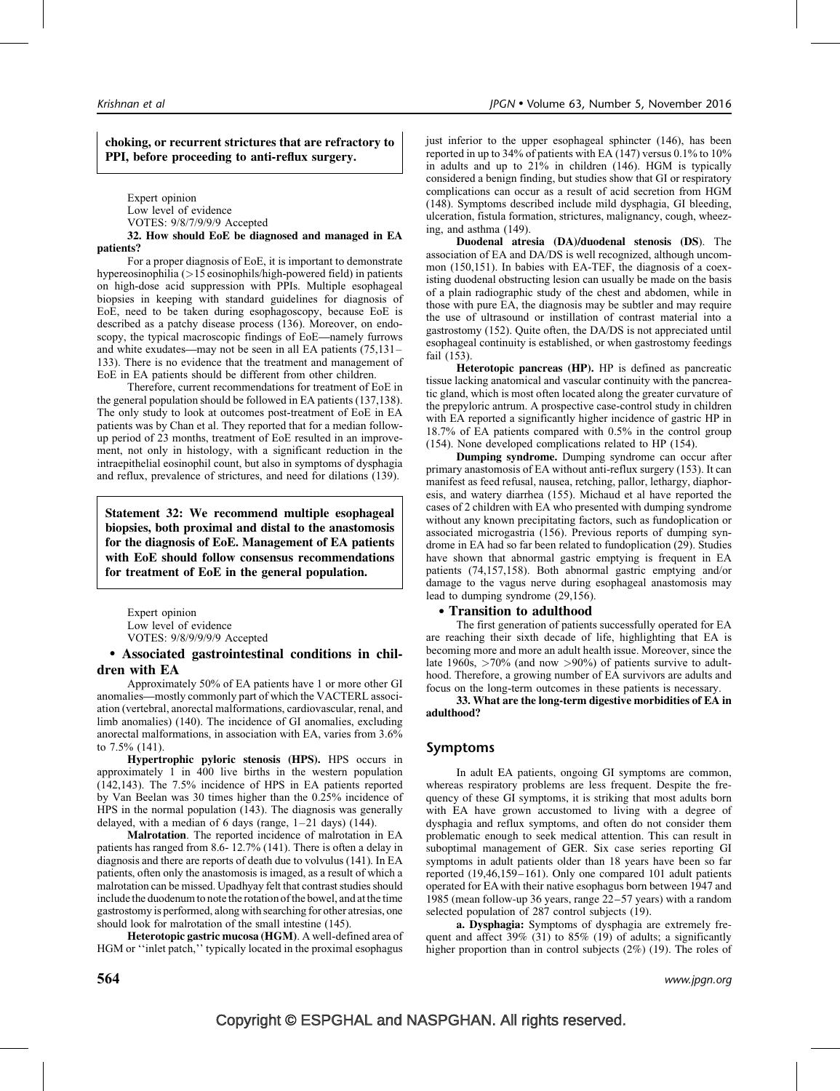## choking, or recurrent strictures that are refractory to PPI, before proceeding to anti-reflux surgery.

Expert opinion Low level of evidence VOTES: 9/8/7/9/9/9 Accepted 32. How should EoE be diagnosed and managed in EA patients?

For a proper diagnosis of EoE, it is important to demonstrate hypereosinophilia (>15 eosinophils/high-powered field) in patients on high-dose acid suppression with PPIs. Multiple esophageal biopsies in keeping with standard guidelines for diagnosis of EoE, need to be taken during esophagoscopy, because EoE is described as a patchy disease process [\(136\)](#page-20-0). Moreover, on endoscopy, the typical macroscopic findings of EoE—namely furrows and white exudates—may not be seen in all EA patients [\(75,131–](#page-18-0) [133\).](#page-18-0) There is no evidence that the treatment and management of EoE in EA patients should be different from other children.

Therefore, current recommendations for treatment of EoE in the general population should be followed in EA patients [\(137,138\)](#page-20-0). The only study to look at outcomes post-treatment of EoE in EA patients was by Chan et al. They reported that for a median followup period of 23 months, treatment of EoE resulted in an improvement, not only in histology, with a significant reduction in the intraepithelial eosinophil count, but also in symptoms of dysphagia and reflux, prevalence of strictures, and need for dilations [\(139\).](#page-20-0)

Statement 32: We recommend multiple esophageal biopsies, both proximal and distal to the anastomosis for the diagnosis of EoE. Management of EA patients with EoE should follow consensus recommendations for treatment of EoE in the general population.

Expert opinion Low level of evidence VOTES: 9/8/9/9/9/9 Accepted

## Associated gastrointestinal conditions in children with EA

Approximately 50% of EA patients have 1 or more other GI anomalies—mostly commonly part of which the VACTERL association (vertebral, anorectal malformations, cardiovascular, renal, and limb anomalies) [\(140\).](#page-20-0) The incidence of GI anomalies, excluding anorectal malformations, in association with EA, varies from 3.6% to 7.5% [\(141\).](#page-20-0)

Hypertrophic pyloric stenosis (HPS). HPS occurs in approximately 1 in 400 live births in the western population [\(142,143\).](#page-20-0) The 7.5% incidence of HPS in EA patients reported by Van Beelan was 30 times higher than the 0.25% incidence of HPS in the normal population [\(143\).](#page-20-0) The diagnosis was generally delayed, with a median of 6 days (range, 1–21 days) [\(144\)](#page-20-0).

Malrotation. The reported incidence of malrotation in EA patients has ranged from 8.6- 12.7% [\(141\).](#page-20-0) There is often a delay in diagnosis and there are reports of death due to volvulus [\(141\).](#page-20-0) In EA patients, often only the anastomosis is imaged, as a result of which a malrotation can be missed. Upadhyay felt that contrast studies should include the duodenum to note the rotation of the bowel, and at the time gastrostomy is performed, along with searching for other atresias, one should look for malrotation of the small intestine [\(145\).](#page-20-0)

Heterotopic gastric mucosa (HGM). A well-defined area of HGM or ''inlet patch,'' typically located in the proximal esophagus

just inferior to the upper esophageal sphincter [\(146\)](#page-20-0), has been reported in up to 34% of patients with EA [\(147\)](#page-20-0) versus 0.1% to 10% in adults and up to 21% in children [\(146\)](#page-20-0). HGM is typically considered a benign finding, but studies show that GI or respiratory complications can occur as a result of acid secretion from HGM [\(148\)](#page-20-0). Symptoms described include mild dysphagia, GI bleeding, ulceration, fistula formation, strictures, malignancy, cough, wheezing, and asthma [\(149\).](#page-20-0)

Duodenal atresia (DA)/duodenal stenosis (DS). The association of EA and DA/DS is well recognized, although uncommon [\(150,151\)](#page-20-0). In babies with EA-TEF, the diagnosis of a coexisting duodenal obstructing lesion can usually be made on the basis of a plain radiographic study of the chest and abdomen, while in those with pure EA, the diagnosis may be subtler and may require the use of ultrasound or instillation of contrast material into a gastrostomy [\(152\).](#page-20-0) Quite often, the DA/DS is not appreciated until esophageal continuity is established, or when gastrostomy feedings fail [\(153\)](#page-20-0).

Heterotopic pancreas (HP). HP is defined as pancreatic tissue lacking anatomical and vascular continuity with the pancreatic gland, which is most often located along the greater curvature of the prepyloric antrum. A prospective case-control study in children with EA reported a significantly higher incidence of gastric HP in 18.7% of EA patients compared with 0.5% in the control group [\(154\)](#page-20-0). None developed complications related to HP [\(154\).](#page-20-0)

Dumping syndrome. Dumping syndrome can occur after primary anastomosis of EA without anti-reflux surgery [\(153\).](#page-20-0) It can manifest as feed refusal, nausea, retching, pallor, lethargy, diaphoresis, and watery diarrhea [\(155\)](#page-20-0). Michaud et al have reported the cases of 2 children with EA who presented with dumping syndrome without any known precipitating factors, such as fundoplication or associated microgastria [\(156\).](#page-20-0) Previous reports of dumping syndrome in EA had so far been related to fundoplication [\(29\)](#page-17-0). Studies have shown that abnormal gastric emptying is frequent in EA patients [\(74,157,158\).](#page-18-0) Both abnormal gastric emptying and/or damage to the vagus nerve during esophageal anastomosis may lead to dumping syndrome [\(29,156\).](#page-17-0)

#### Transition to adulthood

The first generation of patients successfully operated for EA are reaching their sixth decade of life, highlighting that EA is becoming more and more an adult health issue. Moreover, since the late 1960s,  $>70\%$  (and now  $>90\%$ ) of patients survive to adulthood. Therefore, a growing number of EA survivors are adults and focus on the long-term outcomes in these patients is necessary.

33. What are the long-term digestive morbidities of EA in adulthood?

# Symptoms

In adult EA patients, ongoing GI symptoms are common, whereas respiratory problems are less frequent. Despite the frequency of these GI symptoms, it is striking that most adults born with EA have grown accustomed to living with a degree of dysphagia and reflux symptoms, and often do not consider them problematic enough to seek medical attention. This can result in suboptimal management of GER. Six case series reporting GI symptoms in adult patients older than 18 years have been so far reported [\(19,46,159–161\)](#page-17-0). Only one compared 101 adult patients operated for EA with their native esophagus born between 1947 and 1985 (mean follow-up 36 years, range 22–57 years) with a random selected population of 287 control subjects [\(19\).](#page-17-0)

a. Dysphagia: Symptoms of dysphagia are extremely fre-quent and affect 39% [\(31\)](#page-17-0) to 85% [\(19\)](#page-17-0) of adults; a significantly higher proportion than in control subjects (2%) [\(19\).](#page-17-0) The roles of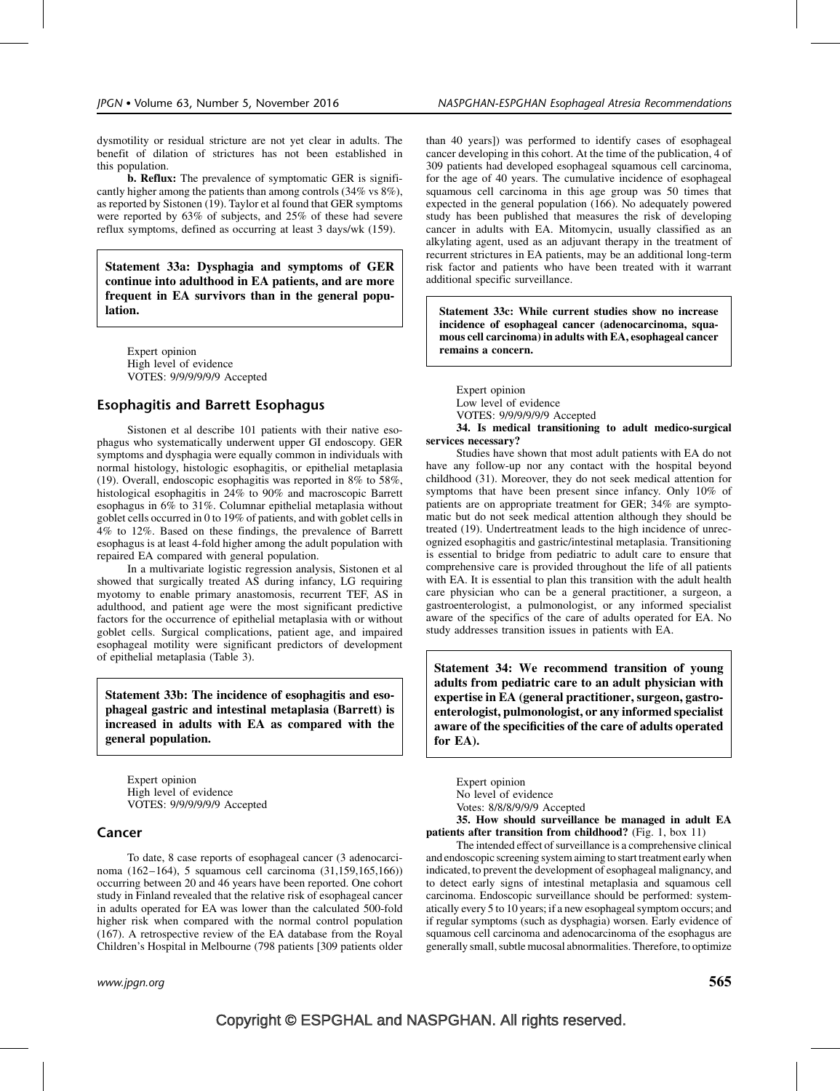dysmotility or residual stricture are not yet clear in adults. The benefit of dilation of strictures has not been established in this population.

b. Reflux: The prevalence of symptomatic GER is significantly higher among the patients than among controls (34% vs 8%), as reported by Sistonen [\(19\)](#page-17-0). Taylor et al found that GER symptoms were reported by 63% of subjects, and 25% of these had severe reflux symptoms, defined as occurring at least 3 days/wk [\(159\).](#page-20-0)

Statement 33a: Dysphagia and symptoms of GER continue into adulthood in EA patients, and are more frequent in EA survivors than in the general population.

Expert opinion High level of evidence VOTES: 9/9/9/9/9/9 Accepted

# Esophagitis and Barrett Esophagus

Sistonen et al describe 101 patients with their native esophagus who systematically underwent upper GI endoscopy. GER symptoms and dysphagia were equally common in individuals with normal histology, histologic esophagitis, or epithelial metaplasia [\(19\)](#page-17-0). Overall, endoscopic esophagitis was reported in 8% to 58%, histological esophagitis in 24% to 90% and macroscopic Barrett esophagus in  $6\%$  to 31%. Columnar epithelial metaplasia without goblet cells occurred in 0 to 19% of patients, and with goblet cells in 4% to 12%. Based on these findings, the prevalence of Barrett esophagus is at least 4-fold higher among the adult population with repaired EA compared with general population.

In a multivariate logistic regression analysis, Sistonen et al showed that surgically treated AS during infancy, LG requiring myotomy to enable primary anastomosis, recurrent TEF, AS in adulthood, and patient age were the most significant predictive factors for the occurrence of epithelial metaplasia with or without goblet cells. Surgical complications, patient age, and impaired esophageal motility were significant predictors of development of epithelial metaplasia [\(Table 3](#page-16-0)).

Statement 33b: The incidence of esophagitis and esophageal gastric and intestinal metaplasia (Barrett) is increased in adults with EA as compared with the general population.

Expert opinion High level of evidence VOTES: 9/9/9/9/9/9 Accepted

### Cancer

To date, 8 case reports of esophageal cancer (3 adenocarcinoma [\(162–164\)](#page-20-0), 5 squamous cell carcinoma [\(31,159,165,166\)](#page-17-0)) occurring between 20 and 46 years have been reported. One cohort study in Finland revealed that the relative risk of esophageal cancer in adults operated for EA was lower than the calculated 500-fold higher risk when compared with the normal control population [\(167\).](#page-20-0) A retrospective review of the EA database from the Royal Children's Hospital in Melbourne (798 patients [309 patients older than 40 years]) was performed to identify cases of esophageal cancer developing in this cohort. At the time of the publication, 4 of 309 patients had developed esophageal squamous cell carcinoma, for the age of 40 years. The cumulative incidence of esophageal squamous cell carcinoma in this age group was 50 times that expected in the general population [\(166\)](#page-20-0). No adequately powered study has been published that measures the risk of developing cancer in adults with EA. Mitomycin, usually classified as an alkylating agent, used as an adjuvant therapy in the treatment of recurrent strictures in EA patients, may be an additional long-term risk factor and patients who have been treated with it warrant additional specific surveillance.

Statement 33c: While current studies show no increase incidence of esophageal cancer (adenocarcinoma, squamous cell carcinoma) in adults with EA, esophageal cancer remains a concern.

Expert opinion Low level of evidence VOTES: 9/9/9/9/9/9 Accepted

34. Is medical transitioning to adult medico-surgical services necessary?

Studies have shown that most adult patients with EA do not have any follow-up nor any contact with the hospital beyond childhood [\(31\).](#page-17-0) Moreover, they do not seek medical attention for symptoms that have been present since infancy. Only 10% of patients are on appropriate treatment for GER; 34% are symptomatic but do not seek medical attention although they should be treated [\(19\)](#page-17-0). Undertreatment leads to the high incidence of unrecognized esophagitis and gastric/intestinal metaplasia. Transitioning is essential to bridge from pediatric to adult care to ensure that comprehensive care is provided throughout the life of all patients with EA. It is essential to plan this transition with the adult health care physician who can be a general practitioner, a surgeon, a gastroenterologist, a pulmonologist, or any informed specialist aware of the specifics of the care of adults operated for EA. No study addresses transition issues in patients with EA.

Statement 34: We recommend transition of young adults from pediatric care to an adult physician with expertise in EA (general practitioner, surgeon, gastroenterologist, pulmonologist, or any informed specialist aware of the specificities of the care of adults operated for EA).

Expert opinion No level of evidence Votes: 8/8/8/9/9/9 Accepted 35. How should surveillance be managed in adult EA

patients after transition from childhood? [\(Fig. 1,](#page-2-0) box 11) The intended effect of surveillance is a comprehensive clinical and endoscopic screening system aimingto start treatment early when indicated, to prevent the development of esophageal malignancy, and to detect early signs of intestinal metaplasia and squamous cell carcinoma. Endoscopic surveillance should be performed: systematically every 5 to 10 years; if a new esophageal symptom occurs; and if regular symptoms (such as dysphagia) worsen. Early evidence of squamous cell carcinoma and adenocarcinoma of the esophagus are generally small, subtle mucosal abnormalities. Therefore, to optimize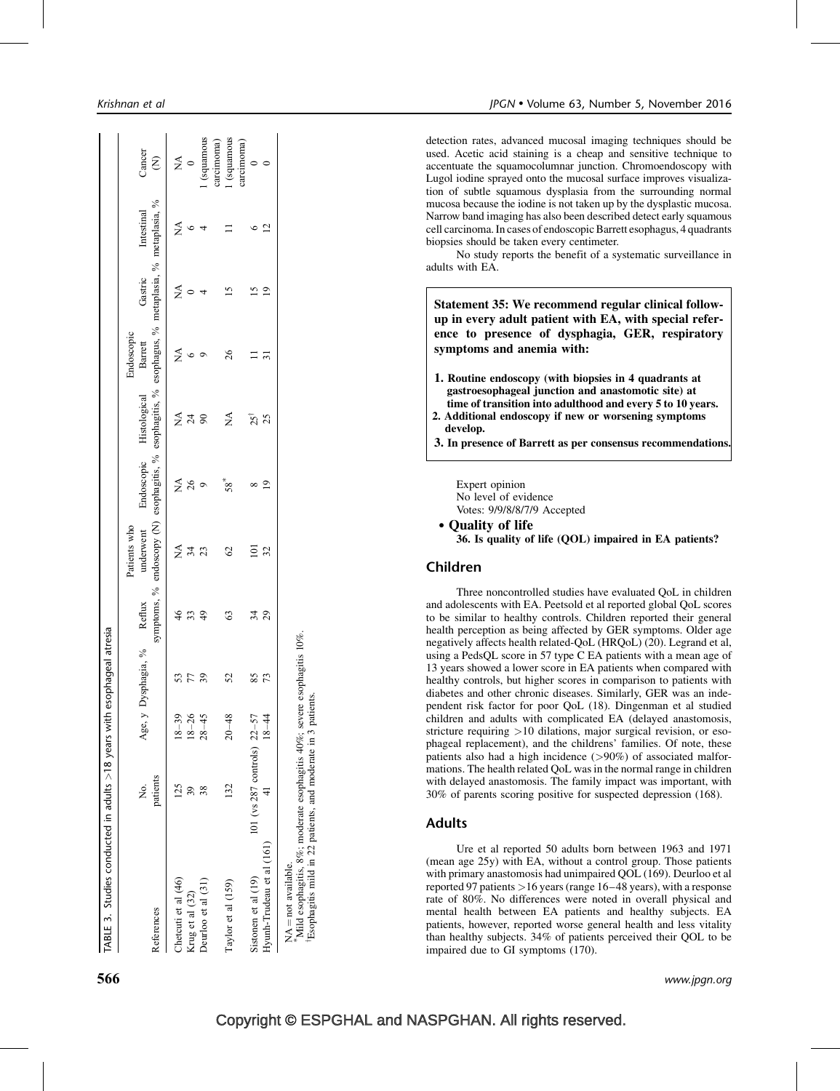<span id="page-16-0"></span>

|                                                                                                                                                                 |                                   |           |                            |         | Patients who                                                                                                  |            |                      | Endoscopic |              |                         |                                |
|-----------------------------------------------------------------------------------------------------------------------------------------------------------------|-----------------------------------|-----------|----------------------------|---------|---------------------------------------------------------------------------------------------------------------|------------|----------------------|------------|--------------|-------------------------|--------------------------------|
| References                                                                                                                                                      | patients<br>ż.                    |           | Age, y Dysphagia, % Reflux |         | symptoms, % endoscopy (N) esophagitis, % esophagitis, % esophagus, % metaplasia, % metaplasia, %<br>underwent | Endoscopic | Histological Barrett |            | Gastric      | Intestinal              | Cancer<br>$\widehat{\epsilon}$ |
| Chetcuti et al (46)                                                                                                                                             | 125                               | $18 - 39$ | 53                         |         | ź                                                                                                             | Ź          | ≨                    | Ź          | Ź            |                         |                                |
| Krug et al (32)                                                                                                                                                 |                                   | $18 - 26$ | ŗ                          | 33      | 34                                                                                                            | 26         | 24                   |            |              |                         | $\sum_{i=1}^{n}$               |
| Deurloo et al (31)                                                                                                                                              | 38                                | $28 - 45$ | 39                         | $^{49}$ |                                                                                                               |            |                      |            |              |                         | (squamous                      |
|                                                                                                                                                                 |                                   |           |                            |         |                                                                                                               |            |                      |            |              |                         | carcimoma)                     |
| Taylor et al (159)                                                                                                                                              | 132                               | $20 - 48$ | 25                         | 3       |                                                                                                               | $58^{*}$   | ≸                    |            |              |                         | (squamous                      |
|                                                                                                                                                                 |                                   |           |                            |         |                                                                                                               |            |                      |            |              |                         | carcimoma)                     |
| Sistonen et al (19)                                                                                                                                             | 101 ( $vs. 287$ controls) $22-57$ |           | 85                         | 34      |                                                                                                               |            | 25                   |            |              |                         |                                |
| Hyunh-Trudeau et al (161)                                                                                                                                       |                                   | $18 - 44$ | 73                         | 29      | 32                                                                                                            |            | 25                   |            | $\mathsf{P}$ | $\overline{\mathsf{c}}$ |                                |
| Mild esophagitis, 8%; moderate esophagitis 40%; severe esophagitis 10%<br>Esophagitis mild in 22 patients, and moderate in 3 patients.<br>$NA = not available.$ |                                   |           |                            |         |                                                                                                               |            |                      |            |              |                         |                                |

TABLE 3. Studies conducted in adults

TABLE 3. Studies conducted in adults >18 years with esophageal atresia

 $>$ 18 years with esophageal atresia

detection rates, advanced mucosal imaging techniques should be used. Acetic acid staining is a cheap and sensitive technique to accentuate the squamocolumnar junction. Chromoendoscopy with Lugol iodine sprayed onto the mucosal surface improves visualization of subtle squamous dysplasia from the surrounding normal mucosa because the iodine is not taken up by the dysplastic mucosa. Narrow band imaging has also been described detect early squamous cell carcinoma. In cases of endoscopic Barrett esophagus, 4 quadrants biopsies should be taken every centimeter.

No study reports the benefit of a systematic surveillance in adults with EA.

Statement 35: We recommend regular clinical followup in every adult patient with EA, with special reference to presence of dysphagia, GER, respiratory symptoms and anemia with:

- 1. Routine endoscopy (with biopsies in 4 quadrants at gastroesophageal junction and anastomotic site) at time of transition into adulthood and every 5 to 10 years.
- 2. Additional endoscopy if new or worsening symptoms develop.

3. In presence of Barrett as per consensus recommendations.

Expert opinion No level of evidence Votes: 9/9/8/8/7/9 Accepted

• Quality of life 36. Is quality of life (QOL) impaired in EA patients?

# Children

Three noncontrolled studies have evaluated QoL in children and adolescents with EA. Peetsold et al reported global QoL scores to be similar to healthy controls. Children reported their general health perception as being affected by GER symptoms. Older age negatively affects health related-QoL (HRQoL) [\(20\)](#page-17-0). Legrand et al, using a PedsQL score in 57 type C EA patients with a mean age of 13 years showed a lower score in EA patients when compared with healthy controls, but higher scores in comparison to patients with diabetes and other chronic diseases. Similarly, GER was an independent risk factor for poor QoL [\(18\)](#page-17-0). Dingenman et al studied children and adults with complicated EA (delayed anastomosis, stricture requiring >10 dilations, major surgical revision, or esophageal replacement), and the childrens' families. Of note, these patients also had a high incidence (>90%) of associated malformations. The health related QoL was in the normal range in children with delayed anastomosis. The family impact was important, with 30% of parents scoring positive for suspected depression [\(168\)](#page-20-0).

# Adults

Ure et al reported 50 adults born between 1963 and 1971 (mean age 25y) with EA, without a control group. Those patients with primary anastomosis had unimpaired QOL [\(169\).](#page-20-0) Deurloo et al reported 97 patients >16 years (range 16–48 years), with a response rate of 80%. No differences were noted in overall physical and mental health between EA patients and healthy subjects. EA patients, however, reported worse general health and less vitality than healthy subjects. 34% of patients perceived their QOL to be impaired due to GI symptoms [\(170\).](#page-20-0)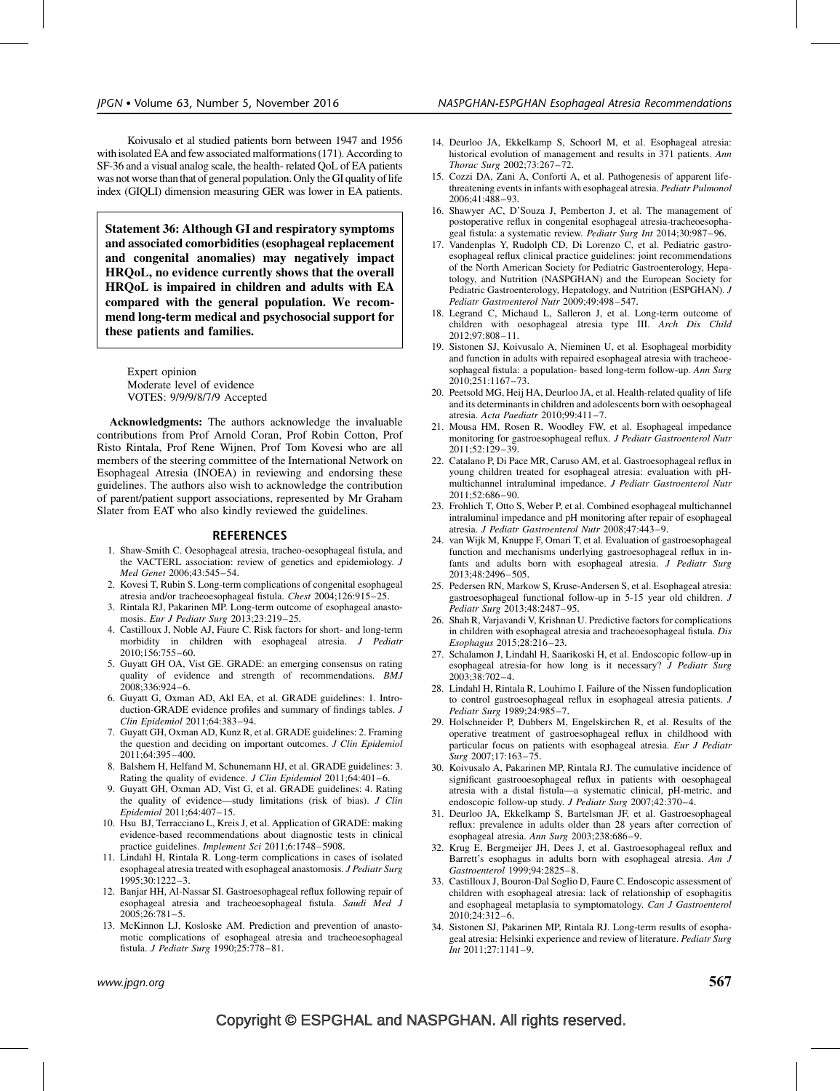<span id="page-17-0"></span>Koivusalo et al studied patients born between 1947 and 1956 with isolated EA and few associated malformations [\(171\)](#page-20-0). According to SF-36 and a visual analog scale, the health- related QoL of EA patients was not worse than that of general population. Only the GI quality of life index (GIQLI) dimension measuring GER was lower in EA patients.

Statement 36: Although GI and respiratory symptoms and associated comorbidities (esophageal replacement and congenital anomalies) may negatively impact HRQoL, no evidence currently shows that the overall HRQoL is impaired in children and adults with EA compared with the general population. We recommend long-term medical and psychosocial support for these patients and families.

Expert opinion Moderate level of evidence VOTES: 9/9/9/8/7/9 Accepted

Acknowledgments: The authors acknowledge the invaluable contributions from Prof Arnold Coran, Prof Robin Cotton, Prof Risto Rintala, Prof Rene Wijnen, Prof Tom Kovesi who are all members of the steering committee of the International Network on Esophageal Atresia (INOEA) in reviewing and endorsing these guidelines. The authors also wish to acknowledge the contribution of parent/patient support associations, represented by Mr Graham Slater from EAT who also kindly reviewed the guidelines.

#### REFERENCES

- 1. Shaw-Smith C. Oesophageal atresia, tracheo-oesophageal fistula, and the VACTERL association: review of genetics and epidemiology. J Med Genet 2006;43:545–54.
- 2. Kovesi T, Rubin S. Long-term complications of congenital esophageal atresia and/or tracheoesophageal fistula. Chest 2004;126:915–25.
- 3. Rintala RJ, Pakarinen MP. Long-term outcome of esophageal anastomosis. Eur J Pediatr Surg 2013;23:219–25.
- 4. Castilloux J, Noble AJ, Faure C. Risk factors for short- and long-term morbidity in children with esophageal atresia. J Pediatr 2010;156:755–60.
- 5. Guyatt GH OA, Vist GE. GRADE: an emerging consensus on rating quality of evidence and strength of recommendations. BMJ 2008;336:924–6.
- 6. Guyatt G, Oxman AD, Akl EA, et al. GRADE guidelines: 1. Introduction-GRADE evidence profiles and summary of findings tables. J Clin Epidemiol 2011;64:383–94.
- 7. Guyatt GH, Oxman AD, Kunz R, et al. GRADE guidelines: 2. Framing the question and deciding on important outcomes. J Clin Epidemiol 2011;64:395–400.
- 8. Balshem H, Helfand M, Schunemann HJ, et al. GRADE guidelines: 3. Rating the quality of evidence. J Clin Epidemiol 2011;64:401-6.
- 9. Guyatt GH, Oxman AD, Vist G, et al. GRADE guidelines: 4. Rating the quality of evidence—study limitations (risk of bias). J Clin Epidemiol 2011;64:407–15.
- 10. Hsu BJ, Terracciano L, Kreis J, et al. Application of GRADE: making evidence-based recommendations about diagnostic tests in clinical practice guidelines. Implement Sci 2011;6:1748-5908.
- 11. Lindahl H, Rintala R. Long-term complications in cases of isolated esophageal atresia treated with esophageal anastomosis. J Pediatr Surg  $1995:30:1222-3$ .
- 12. Banjar HH, Al-Nassar SI. Gastroesophageal reflux following repair of esophageal atresia and tracheoesophageal fistula. Saudi Med J 2005;26:781–5.
- 13. McKinnon LJ, Kosloske AM. Prediction and prevention of anastomotic complications of esophageal atresia and tracheoesophageal fistula. J Pediatr Surg 1990;25:778–81.
- 14. Deurloo JA, Ekkelkamp S, Schoorl M, et al. Esophageal atresia: historical evolution of management and results in 371 patients. Ann Thorac Surg 2002;73:267–72.
- 15. Cozzi DA, Zani A, Conforti A, et al. Pathogenesis of apparent lifethreatening events in infants with esophageal atresia. Pediatr Pulmonol 2006;41:488–93.
- 16. Shawyer AC, D'Souza J, Pemberton J, et al. The management of postoperative reflux in congenital esophageal atresia-tracheoesophageal fistula: a systematic review. Pediatr Surg Int 2014;30:987-96.
- 17. Vandenplas Y, Rudolph CD, Di Lorenzo C, et al. Pediatric gastroesophageal reflux clinical practice guidelines: joint recommendations of the North American Society for Pediatric Gastroenterology, Hepatology, and Nutrition (NASPGHAN) and the European Society for Pediatric Gastroenterology, Hepatology, and Nutrition (ESPGHAN). J Pediatr Gastroenterol Nutr 2009;49:498–547.
- 18. Legrand C, Michaud L, Salleron J, et al. Long-term outcome of children with oesophageal atresia type III. Arch Dis Child 2012;97:808–11.
- 19. Sistonen SJ, Koivusalo A, Nieminen U, et al. Esophageal morbidity and function in adults with repaired esophageal atresia with tracheoesophageal fistula: a population- based long-term follow-up. Ann Surg 2010;251:1167–73.
- 20. Peetsold MG, Heij HA, Deurloo JA, et al. Health-related quality of life and its determinants in children and adolescents born with oesophageal atresia. Acta Paediatr 2010;99:411–7.
- 21. Mousa HM, Rosen R, Woodley FW, et al. Esophageal impedance monitoring for gastroesophageal reflux. J Pediatr Gastroenterol Nutr 2011;52:129–39.
- 22. Catalano P, Di Pace MR, Caruso AM, et al. Gastroesophageal reflux in young children treated for esophageal atresia: evaluation with pHmultichannel intraluminal impedance. J Pediatr Gastroenterol Nutr 2011;52:686–90.
- 23. Frohlich T, Otto S, Weber P, et al. Combined esophageal multichannel intraluminal impedance and pH monitoring after repair of esophageal atresia. J Pediatr Gastroenterol Nutr 2008;47:443–9.
- 24. van Wijk M, Knuppe F, Omari T, et al. Evaluation of gastroesophageal function and mechanisms underlying gastroesophageal reflux in infants and adults born with esophageal atresia. J Pediatr Surg 2013;48:2496–505.
- 25. Pedersen RN, Markow S, Kruse-Andersen S, et al. Esophageal atresia: gastroesophageal functional follow-up in 5-15 year old children. J Pediatr Surg 2013;48:2487–95.
- 26. Shah R, Varjavandi V, Krishnan U. Predictive factors for complications in children with esophageal atresia and tracheoesophageal fistula. Dis Esophagus 2015;28:216–23.
- 27. Schalamon J, Lindahl H, Saarikoski H, et al. Endoscopic follow-up in esophageal atresia-for how long is it necessary? J Pediatr Surg 2003;38:702–4.
- 28. Lindahl H, Rintala R, Louhimo I. Failure of the Nissen fundoplication to control gastroesophageal reflux in esophageal atresia patients. J Pediatr Surg 1989;24:985–7.
- 29. Holschneider P, Dubbers M, Engelskirchen R, et al. Results of the operative treatment of gastroesophageal reflux in childhood with particular focus on patients with esophageal atresia. Eur J Pediatr Surg 2007;17:163–75.
- 30. Koivusalo A, Pakarinen MP, Rintala RJ. The cumulative incidence of significant gastrooesophageal reflux in patients with oesophageal atresia with a distal fistula—a systematic clinical, pH-metric, and endoscopic follow-up study. J Pediatr Surg 2007;42:370–4.
- 31. Deurloo JA, Ekkelkamp S, Bartelsman JF, et al. Gastroesophageal reflux: prevalence in adults older than 28 years after correction of esophageal atresia. Ann Surg 2003;238:686–9.
- 32. Krug E, Bergmeijer JH, Dees J, et al. Gastroesophageal reflux and Barrett's esophagus in adults born with esophageal atresia. Am J Gastroenterol 1999;94:2825–8.
- 33. Castilloux J, Bouron-Dal Soglio D, Faure C. Endoscopic assessment of children with esophageal atresia: lack of relationship of esophagitis and esophageal metaplasia to symptomatology. Can J Gastroenterol 2010;24:312–6.
- 34. Sistonen SJ, Pakarinen MP, Rintala RJ. Long-term results of esophageal atresia: Helsinki experience and review of literature. Pediatr Surg Int 2011;27:1141–9.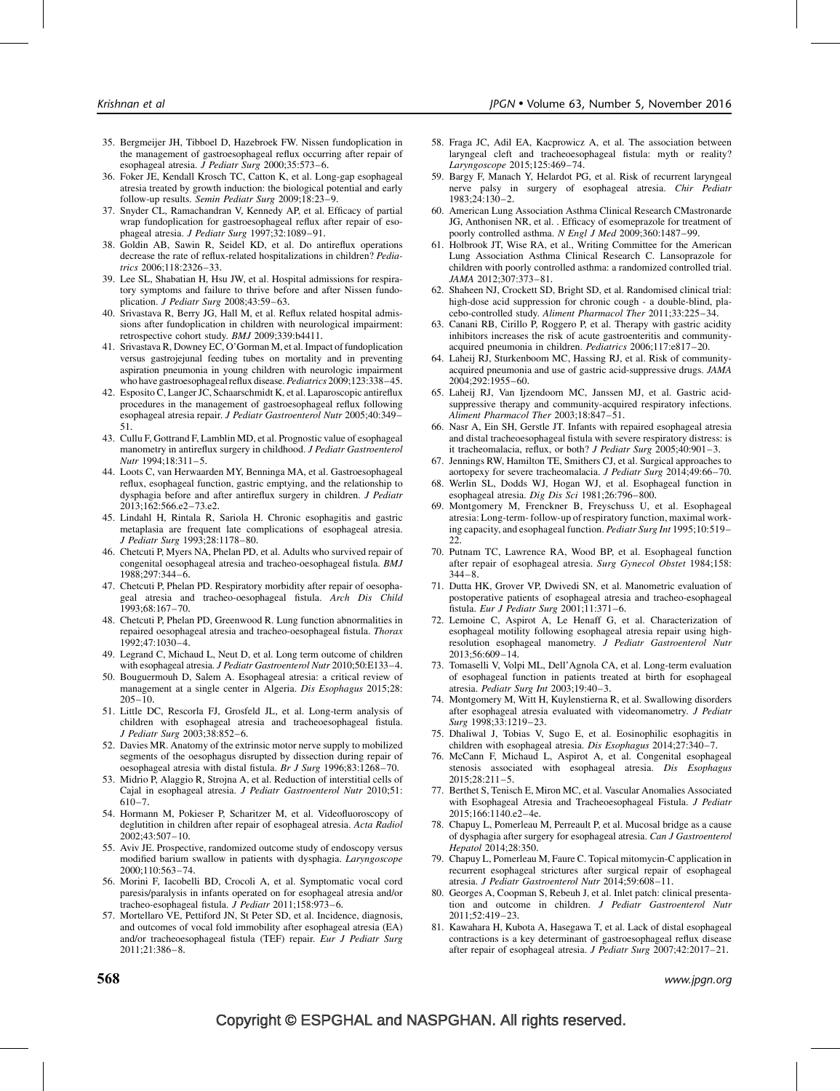- <span id="page-18-0"></span>35. Bergmeijer JH, Tibboel D, Hazebroek FW. Nissen fundoplication in the management of gastroesophageal reflux occurring after repair of esophageal atresia. J Pediatr Surg 2000;35:573–6.
- 36. Foker JE, Kendall Krosch TC, Catton K, et al. Long-gap esophageal atresia treated by growth induction: the biological potential and early follow-up results. Semin Pediatr Surg 2009;18:23–9.
- 37. Snyder CL, Ramachandran V, Kennedy AP, et al. Efficacy of partial wrap fundoplication for gastroesophageal reflux after repair of esophageal atresia. J Pediatr Surg 1997;32:1089–91.
- 38. Goldin AB, Sawin R, Seidel KD, et al. Do antireflux operations decrease the rate of reflux-related hospitalizations in children? Pediatrics 2006;118:2326–33.
- 39. Lee SL, Shabatian H, Hsu JW, et al. Hospital admissions for respiratory symptoms and failure to thrive before and after Nissen fundoplication. J Pediatr Surg 2008;43:59–63.
- 40. Srivastava R, Berry JG, Hall M, et al. Reflux related hospital admissions after fundoplication in children with neurological impairment: retrospective cohort study. BMJ 2009;339:b4411.
- 41. Srivastava R, Downey EC, O'Gorman M, et al. Impact of fundoplication versus gastrojejunal feeding tubes on mortality and in preventing aspiration pneumonia in young children with neurologic impairment who have gastroesophageal reflux disease. Pediatrics 2009;123:338-45.
- 42. Esposito C, Langer JC, Schaarschmidt K, et al. Laparoscopic antireflux procedures in the management of gastroesophageal reflux following esophageal atresia repair. J Pediatr Gastroenterol Nutr 2005;40:349– 51.
- 43. Cullu F, Gottrand F, Lamblin MD, et al. Prognostic value of esophageal manometry in antireflux surgery in childhood. J Pediatr Gastroenterol Nutr 1994;18:311–5.
- 44. Loots C, van Herwaarden MY, Benninga MA, et al. Gastroesophageal reflux, esophageal function, gastric emptying, and the relationship to dysphagia before and after antireflux surgery in children. J Pediatr 2013;162:566.e2–73.e2.
- 45. Lindahl H, Rintala R, Sariola H. Chronic esophagitis and gastric metaplasia are frequent late complications of esophageal atresia. J Pediatr Surg 1993;28:1178–80.
- 46. Chetcuti P, Myers NA, Phelan PD, et al. Adults who survived repair of congenital oesophageal atresia and tracheo-oesophageal fistula. BMJ 1988;297:344–6.
- 47. Chetcuti P, Phelan PD. Respiratory morbidity after repair of oesophageal atresia and tracheo-oesophageal fistula. Arch Dis Child 1993;68:167–70.
- 48. Chetcuti P, Phelan PD, Greenwood R. Lung function abnormalities in repaired oesophageal atresia and tracheo-oesophageal fistula. Thorax 1992;47:1030–4.
- 49. Legrand C, Michaud L, Neut D, et al. Long term outcome of children with esophageal atresia. J Pediatr Gastroenterol Nutr 2010;50:E133-4.
- 50. Bouguermouh D, Salem A. Esophageal atresia: a critical review of management at a single center in Algeria. Dis Esophagus 2015;28: 205–10.
- 51. Little DC, Rescorla FJ, Grosfeld JL, et al. Long-term analysis of children with esophageal atresia and tracheoesophageal fistula. J Pediatr Surg 2003;38:852–6.
- 52. Davies MR. Anatomy of the extrinsic motor nerve supply to mobilized segments of the oesophagus disrupted by dissection during repair of oesophageal atresia with distal fistula. Br J Surg 1996;83:1268–70.
- 53. Midrio P, Alaggio R, Strojna A, et al. Reduction of interstitial cells of Cajal in esophageal atresia. J Pediatr Gastroenterol Nutr 2010;51: 610–7.
- 54. Hormann M, Pokieser P, Scharitzer M, et al. Videofluoroscopy of deglutition in children after repair of esophageal atresia. Acta Radiol 2002;43:507–10.
- 55. Aviv JE. Prospective, randomized outcome study of endoscopy versus modified barium swallow in patients with dysphagia. Laryngoscope 2000;110:563–74.
- 56. Morini F, Iacobelli BD, Crocoli A, et al. Symptomatic vocal cord paresis/paralysis in infants operated on for esophageal atresia and/or tracheo-esophageal fistula. J Pediatr 2011;158:973-6.
- 57. Mortellaro VE, Pettiford JN, St Peter SD, et al. Incidence, diagnosis, and outcomes of vocal fold immobility after esophageal atresia (EA) and/or tracheoesophageal fistula (TEF) repair. Eur J Pediatr Surg 2011;21:386–8.
- 58. Fraga JC, Adil EA, Kacprowicz A, et al. The association between laryngeal cleft and tracheoesophageal fistula: myth or reality? Laryngoscope 2015;125:469–74.
- 59. Bargy F, Manach Y, Helardot PG, et al. Risk of recurrent laryngeal nerve palsy in surgery of esophageal atresia. Chir Pediatr 1983;24:130–2.
- 60. American Lung Association Asthma Clinical Research CMastronarde JG, Anthonisen NR, et al. . Efficacy of esomeprazole for treatment of poorly controlled asthma. N Engl J Med 2009;360:1487-99.
- 61. Holbrook JT, Wise RA, et al., Writing Committee for the American Lung Association Asthma Clinical Research C. Lansoprazole for children with poorly controlled asthma: a randomized controlled trial. JAMA 2012;307:373–81.
- 62. Shaheen NJ, Crockett SD, Bright SD, et al. Randomised clinical trial: high-dose acid suppression for chronic cough - a double-blind, placebo-controlled study. Aliment Pharmacol Ther 2011;33:225–34.
- 63. Canani RB, Cirillo P, Roggero P, et al. Therapy with gastric acidity inhibitors increases the risk of acute gastroenteritis and communityacquired pneumonia in children. Pediatrics 2006;117:e817–20.
- 64. Laheij RJ, Sturkenboom MC, Hassing RJ, et al. Risk of communityacquired pneumonia and use of gastric acid-suppressive drugs. JAMA 2004;292:1955–60.
- 65. Laheij RJ, Van Ijzendoorn MC, Janssen MJ, et al. Gastric acidsuppressive therapy and community-acquired respiratory infections. Aliment Pharmacol Ther 2003;18:847–51.
- 66. Nasr A, Ein SH, Gerstle JT. Infants with repaired esophageal atresia and distal tracheoesophageal fistula with severe respiratory distress: is it tracheomalacia, reflux, or both? J Pediatr Surg 2005;40:901–3.
- 67. Jennings RW, Hamilton TE, Smithers CJ, et al. Surgical approaches to aortopexy for severe tracheomalacia. J Pediatr Surg 2014;49:66–70.
- 68. Werlin SL, Dodds WJ, Hogan WJ, et al. Esophageal function in esophageal atresia. Dig Dis Sci 1981;26:796–800.
- 69. Montgomery M, Frenckner B, Freyschuss U, et al. Esophageal atresia: Long-term- follow-up of respiratory function, maximal working capacity, and esophageal function. Pediatr Surg Int 1995;10:519–  $22.2$
- 70. Putnam TC, Lawrence RA, Wood BP, et al. Esophageal function after repair of esophageal atresia. Surg Gynecol Obstet 1984;158: 344–8.
- 71. Dutta HK, Grover VP, Dwivedi SN, et al. Manometric evaluation of postoperative patients of esophageal atresia and tracheo-esophageal fistula. Eur J Pediatr Surg 2001;11:371–6.
- 72. Lemoine C, Aspirot A, Le Henaff G, et al. Characterization of esophageal motility following esophageal atresia repair using highresolution esophageal manometry. J Pediatr Gastroenterol Nutr 2013;56:609–14.
- 73. Tomaselli V, Volpi ML, Dell'Agnola CA, et al. Long-term evaluation of esophageal function in patients treated at birth for esophageal atresia. Pediatr Surg Int 2003;19:40–3.
- 74. Montgomery M, Witt H, Kuylenstierna R, et al. Swallowing disorders after esophageal atresia evaluated with videomanometry. J Pediatr Surg 1998;33:1219–23.
- 75. Dhaliwal J, Tobias V, Sugo E, et al. Eosinophilic esophagitis in children with esophageal atresia. Dis Esophagus 2014;27:340–7.
- 76. McCann F, Michaud L, Aspirot A, et al. Congenital esophageal stenosis associated with esophageal atresia. Dis Esophagus 2015;28:211–5.
- 77. Berthet S, Tenisch E, Miron MC, et al. Vascular Anomalies Associated with Esophageal Atresia and Tracheoesophageal Fistula. J Pediatr 2015;166:1140.e2–4e.
- 78. Chapuy L, Pomerleau M, Perreault P, et al. Mucosal bridge as a cause of dysphagia after surgery for esophageal atresia. Can J Gastroenterol Hepatol 2014;28:350.
- 79. Chapuy L, Pomerleau M, Faure C. Topical mitomycin-C application in recurrent esophageal strictures after surgical repair of esophageal atresia. J Pediatr Gastroenterol Nutr 2014;59:608–11.
- 80. Georges A, Coopman S, Rebeuh J, et al. Inlet patch: clinical presentation and outcome in children. J Pediatr Gastroenterol Nutr 2011;52:419–23.
- 81. Kawahara H, Kubota A, Hasegawa T, et al. Lack of distal esophageal contractions is a key determinant of gastroesophageal reflux disease after repair of esophageal atresia. J Pediatr Surg 2007;42:2017–21.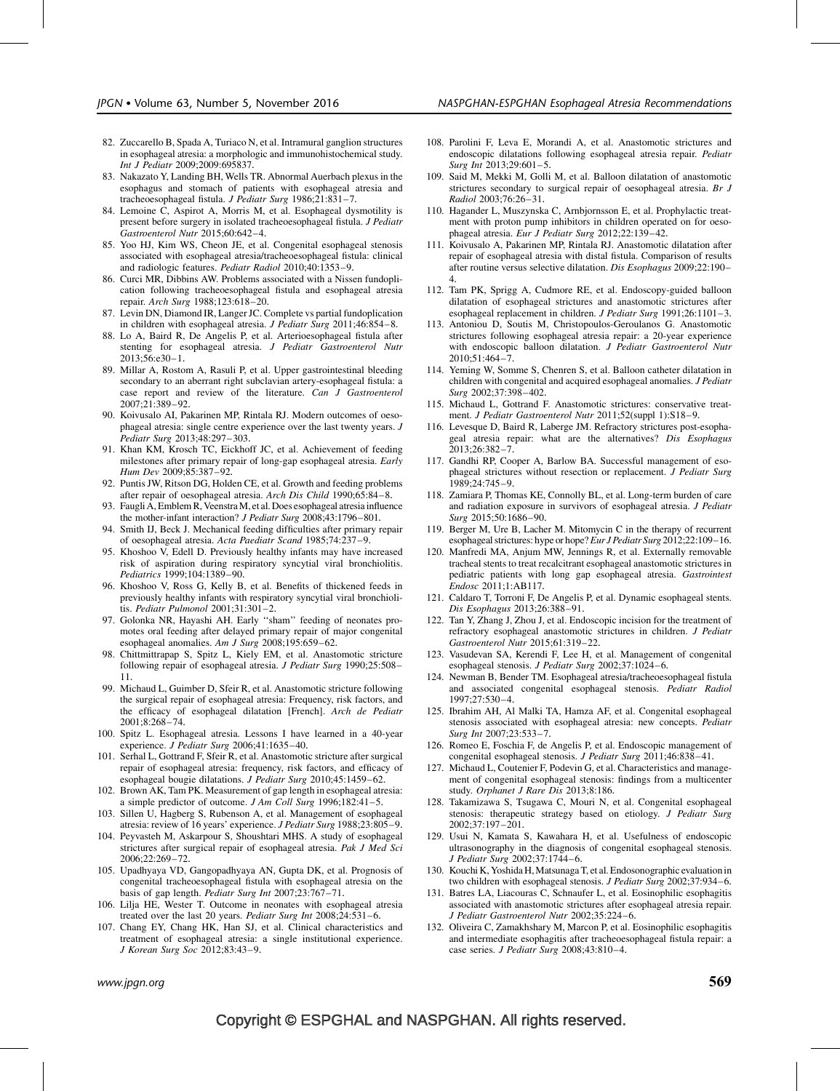- <span id="page-19-0"></span>82. Zuccarello B, Spada A, Turiaco N, et al. Intramural ganglion structures in esophageal atresia: a morphologic and immunohistochemical study. Int J Pediatr 2009;2009:695837.
- 83. Nakazato Y, Landing BH, Wells TR. Abnormal Auerbach plexus in the esophagus and stomach of patients with esophageal atresia and tracheoesophageal fistula. J Pediatr Surg 1986;21:831–7.
- 84. Lemoine C, Aspirot A, Morris M, et al. Esophageal dysmotility is present before surgery in isolated tracheoesophageal fistula. J Pediatr Gastroenterol Nutr 2015;60:642–4.
- 85. Yoo HJ, Kim WS, Cheon JE, et al. Congenital esophageal stenosis associated with esophageal atresia/tracheoesophageal fistula: clinical and radiologic features. Pediatr Radiol 2010;40:1353–9.
- 86. Curci MR, Dibbins AW. Problems associated with a Nissen fundoplication following tracheoesophageal fistula and esophageal atresia repair. Arch Surg 1988;123:618–20.
- 87. Levin DN, Diamond IR, Langer JC. Complete vs partial fundoplication in children with esophageal atresia. J Pediatr Surg 2011;46:854–8.
- 88. Lo A, Baird R, De Angelis P, et al. Arterioesophageal fistula after stenting for esophageal atresia. J Pediatr Gastroenterol Nutr 2013;56:e30–1.
- 89. Millar A, Rostom A, Rasuli P, et al. Upper gastrointestinal bleeding secondary to an aberrant right subclavian artery-esophageal fistula: a case report and review of the literature. Can J Gastroenterol 2007;21:389–92.
- 90. Koivusalo AI, Pakarinen MP, Rintala RJ. Modern outcomes of oesophageal atresia: single centre experience over the last twenty years. J Pediatr Surg 2013;48:297–303.
- 91. Khan KM, Krosch TC, Eickhoff JC, et al. Achievement of feeding milestones after primary repair of long-gap esophageal atresia. Early Hum Dev 2009;85:387–92.
- 92. Puntis JW, Ritson DG, Holden CE, et al. Growth and feeding problems after repair of oesophageal atresia. Arch Dis Child 1990;65:84–8.
- 93. Faugli A, Emblem R, Veenstra M, et al. Does esophageal atresia influence the mother-infant interaction? J Pediatr Surg 2008;43:1796-801.
- 94. Smith IJ, Beck J. Mechanical feeding difficulties after primary repair of oesophageal atresia. Acta Paediatr Scand 1985;74:237–9.
- 95. Khoshoo V, Edell D. Previously healthy infants may have increased risk of aspiration during respiratory syncytial viral bronchiolitis. Pediatrics 1999;104:1389–90.
- 96. Khoshoo V, Ross G, Kelly B, et al. Benefits of thickened feeds in previously healthy infants with respiratory syncytial viral bronchiolitis. Pediatr Pulmonol 2001;31:301–2.
- 97. Golonka NR, Hayashi AH. Early ''sham'' feeding of neonates promotes oral feeding after delayed primary repair of major congenital esophageal anomalies. Am J Surg 2008;195:659–62.
- 98. Chittmittrapap S, Spitz L, Kiely EM, et al. Anastomotic stricture following repair of esophageal atresia. J Pediatr Surg 1990;25:508-11.
- 99. Michaud L, Guimber D, Sfeir R, et al. Anastomotic stricture following the surgical repair of esophageal atresia: Frequency, risk factors, and the efficacy of esophageal dilatation [French]. Arch de Pediatr 2001;8:268–74.
- 100. Spitz L. Esophageal atresia. Lessons I have learned in a 40-year experience. J Pediatr Surg 2006;41:1635-40.
- 101. Serhal L, Gottrand F, Sfeir R, et al. Anastomotic stricture after surgical repair of esophageal atresia: frequency, risk factors, and efficacy of esophageal bougie dilatations. J Pediatr Surg 2010;45:1459–62.
- 102. Brown AK, Tam PK. Measurement of gap length in esophageal atresia: a simple predictor of outcome. J Am Coll Surg 1996;182:41–5.
- 103. Sillen U, Hagberg S, Rubenson A, et al. Management of esophageal atresia: review of 16 years' experience. J Pediatr Surg 1988;23:805–9.
- 104. Peyvasteh M, Askarpour S, Shoushtari MHS. A study of esophageal strictures after surgical repair of esophageal atresia. Pak J Med Sci 2006;22:269–72.
- 105. Upadhyaya VD, Gangopadhyaya AN, Gupta DK, et al. Prognosis of congenital tracheoesophageal fistula with esophageal atresia on the basis of gap length. Pediatr Surg Int 2007;23:767–71.
- 106. Lilja HE, Wester T. Outcome in neonates with esophageal atresia treated over the last 20 years. Pediatr Surg Int 2008;24:531–6.
- 107. Chang EY, Chang HK, Han SJ, et al. Clinical characteristics and treatment of esophageal atresia: a single institutional experience. J Korean Surg Soc 2012;83:43–9.
- 108. Parolini F, Leva E, Morandi A, et al. Anastomotic strictures and endoscopic dilatations following esophageal atresia repair. Pediatr Surg Int 2013;29:601–5.
- 109. Said M, Mekki M, Golli M, et al. Balloon dilatation of anastomotic strictures secondary to surgical repair of oesophageal atresia. Br J Radiol 2003;76:26–31.
- 110. Hagander L, Muszynska C, Arnbjornsson E, et al. Prophylactic treatment with proton pump inhibitors in children operated on for oesophageal atresia. Eur J Pediatr Surg 2012;22:139–42.
- 111. Koivusalo A, Pakarinen MP, Rintala RJ. Anastomotic dilatation after repair of esophageal atresia with distal fistula. Comparison of results after routine versus selective dilatation. Dis Esophagus 2009;22:190– 4.
- 112. Tam PK, Sprigg A, Cudmore RE, et al. Endoscopy-guided balloon dilatation of esophageal strictures and anastomotic strictures after esophageal replacement in children. J Pediatr Surg 1991;26:1101–3.
- 113. Antoniou D, Soutis M, Christopoulos-Geroulanos G. Anastomotic strictures following esophageal atresia repair: a 20-year experience with endoscopic balloon dilatation. J Pediatr Gastroenterol Nutr 2010;51:464–7.
- 114. Yeming W, Somme S, Chenren S, et al. Balloon catheter dilatation in children with congenital and acquired esophageal anomalies. J Pediatr Surg 2002;37:398–402.
- 115. Michaud L, Gottrand F. Anastomotic strictures: conservative treatment. J Pediatr Gastroenterol Nutr 2011;52(suppl 1):S18–9.
- 116. Levesque D, Baird R, Laberge JM. Refractory strictures post-esophageal atresia repair: what are the alternatives? Dis Esophagus 2013;26:382–7.
- 117. Gandhi RP, Cooper A, Barlow BA. Successful management of esophageal strictures without resection or replacement. J Pediatr Surg 1989;24:745–9.
- 118. Zamiara P, Thomas KE, Connolly BL, et al. Long-term burden of care and radiation exposure in survivors of esophageal atresia. J Pediatr Surg 2015;50:1686–90.
- 119. Berger M, Ure B, Lacher M. Mitomycin C in the therapy of recurrent esophageal strictures: hype or hope? Eur J Pediatr Surg 2012;22:109-16.
- 120. Manfredi MA, Anjum MW, Jennings R, et al. Externally removable tracheal stents to treat recalcitrant esophageal anastomotic strictures in pediatric patients with long gap esophageal atresia. Gastrointest Endosc 2011;1:AB117.
- 121. Caldaro T, Torroni F, De Angelis P, et al. Dynamic esophageal stents. Dis Esophagus 2013;26:388–91.
- 122. Tan Y, Zhang J, Zhou J, et al. Endoscopic incision for the treatment of refractory esophageal anastomotic strictures in children. J Pediatr Gastroenterol Nutr 2015;61:319–22.
- 123. Vasudevan SA, Kerendi F, Lee H, et al. Management of congenital esophageal stenosis. J Pediatr Surg 2002;37:1024–6.
- 124. Newman B, Bender TM. Esophageal atresia/tracheoesophageal fistula and associated congenital esophageal stenosis. Pediatr Radiol 1997;27:530–4.
- 125. Ibrahim AH, Al Malki TA, Hamza AF, et al. Congenital esophageal stenosis associated with esophageal atresia: new concepts. Pediatr Surg Int 2007;23:533–7.
- 126. Romeo E, Foschia F, de Angelis P, et al. Endoscopic management of congenital esophageal stenosis. J Pediatr Surg 2011;46:838–41.
- 127. Michaud L, Coutenier F, Podevin G, et al. Characteristics and management of congenital esophageal stenosis: findings from a multicenter study. Orphanet J Rare Dis 2013;8:186.
- 128. Takamizawa S, Tsugawa C, Mouri N, et al. Congenital esophageal stenosis: therapeutic strategy based on etiology. J Pediatr Surg 2002;37:197–201.
- 129. Usui N, Kamata S, Kawahara H, et al. Usefulness of endoscopic ultrasonography in the diagnosis of congenital esophageal stenosis. J Pediatr Surg 2002;37:1744–6.
- 130. Kouchi K, Yoshida H, Matsunaga T, et al. Endosonographic evaluation in two children with esophageal stenosis. J Pediatr Surg 2002;37:934–6.
- 131. Batres LA, Liacouras C, Schnaufer L, et al. Eosinophilic esophagitis associated with anastomotic strictures after esophageal atresia repair. J Pediatr Gastroenterol Nutr 2002;35:224–6.
- 132. Oliveira C, Zamakhshary M, Marcon P, et al. Eosinophilic esophagitis and intermediate esophagitis after tracheoesophageal fistula repair: a case series. J Pediatr Surg 2008;43:810–4.